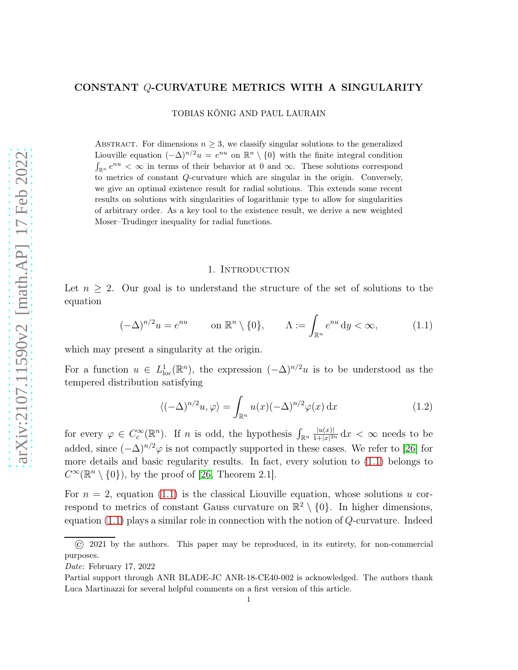# arXiv:2107.11590v2 [math.AP] 17 Feb 2022 [arXiv:2107.11590v2 \[math.AP\] 17 Feb 2022](http://arxiv.org/abs/2107.11590v2)

### CONSTANT Q-CURVATURE METRICS WITH A SINGULARITY

TOBIAS KÖNIG AND PAUL LAURAIN

ABSTRACT. For dimensions  $n \geq 3$ , we classify singular solutions to the generalized Liouville equation  $(-\Delta)^{n/2}u = e^{nu}$  on  $\mathbb{R}^n \setminus \{0\}$  with the finite integral condition  $\int_{\mathbb{R}^n} e^{nu} < \infty$  in terms of their behavior at 0 and  $\infty$ . These solutions correspond to metrics of constant Q-curvature which are singular in the origin. Conversely, we give an optimal existence result for radial solutions. This extends some recent results on solutions with singularities of logarithmic type to allow for singularities of arbitrary order. As a key tool to the existence result, we derive a new weighted Moser–Trudinger inequality for radial functions.

# 1. INTRODUCTION

Let  $n > 2$ . Our goal is to understand the structure of the set of solutions to the equation

<span id="page-0-0"></span>
$$
(-\Delta)^{n/2}u = e^{nu} \qquad \text{on } \mathbb{R}^n \setminus \{0\}, \qquad \Lambda := \int_{\mathbb{R}^n} e^{nu} dy < \infty,\tag{1.1}
$$

which may present a singularity at the origin.

For a function  $u \in L^1_{loc}(\mathbb{R}^n)$ , the expression  $(-\Delta)^{n/2}u$  is to be understood as the tempered distribution satisfying

$$
\langle (-\Delta)^{n/2} u, \varphi \rangle = \int_{\mathbb{R}^n} u(x) (-\Delta)^{n/2} \varphi(x) \, \mathrm{d}x \tag{1.2}
$$

for every  $\varphi \in C_c^{\infty}(\mathbb{R}^n)$ . If *n* is odd, the hypothesis  $\int_{\mathbb{R}^n} \frac{|u(x)|}{1+|x|^2}$  $\frac{|u(x)|}{1+|x|^{2n}}\,dx < \infty$  needs to be added, since  $(-\Delta)^{n/2}\varphi$  is not compactly supported in these cases. We refer to [\[26\]](#page-36-0) for more details and basic regularity results. In fact, every solution to [\(1.1\)](#page-0-0) belongs to  $C^{\infty}(\mathbb{R}^n \setminus \{0\}),$  by the proof of [\[26,](#page-36-0) Theorem 2.1].

For  $n = 2$ , equation [\(1.1\)](#page-0-0) is the classical Liouville equation, whose solutions u correspond to metrics of constant Gauss curvature on  $\mathbb{R}^2 \setminus \{0\}$ . In higher dimensions, equation  $(1.1)$  plays a similar role in connection with the notion of  $Q$ -curvature. Indeed

<sup>© 2021</sup> by the authors. This paper may be reproduced, in its entirety, for non-commercial purposes.

Date: February 17, 2022

Partial support through ANR BLADE-JC ANR-18-CE40-002 is acknowledged. The authors thank Luca Martinazzi for several helpful comments on a first version of this article.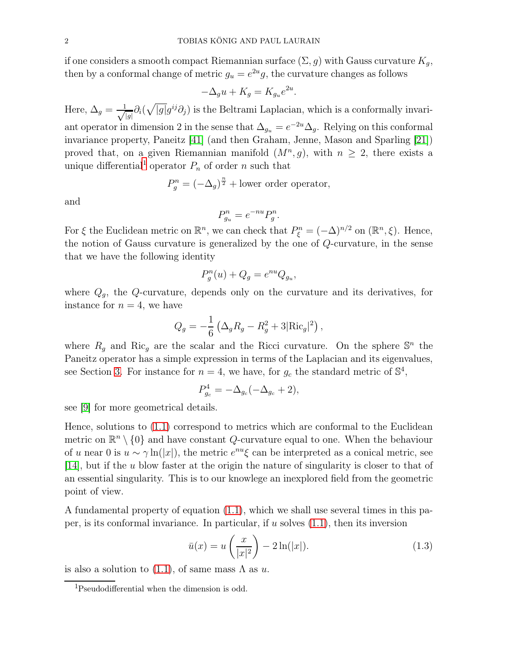if one considers a smooth compact Riemannian surface  $(\Sigma, g)$  with Gauss curvature  $K_g$ , then by a conformal change of metric  $g_u = e^{2u}g$ , the curvature changes as follows

$$
-\Delta_g u + K_g = K_{g_u} e^{2u}.
$$

Here,  $\Delta_g = \frac{1}{\sqrt{2}}$  $\frac{1}{|g|}\partial_i(\sqrt{|g|}g^{ij}\partial_j)$  is the Beltrami Laplacian, which is a conformally invariant operator in dimension 2 in the sense that  $\Delta_{g_u} = e^{-2u} \Delta_g$ . Relying on this conformal invariance property, Paneitz [\[41\]](#page-36-1) (and then Graham, Jenne, Mason and Sparling [\[21\]](#page-35-0)) proved that, on a given Riemannian manifold  $(M^n, g)$ , with  $n \geq 2$ , there exists a unique differential<sup>[1](#page-1-0)</sup> operator  $P_n$  of order n such that

$$
P_g^n = (-\Delta_g)^{\frac{n}{2}} + \text{lower order operator},
$$

and

$$
P_{g_u}^n = e^{-nu} P_g^n.
$$

For  $\xi$  the Euclidean metric on  $\mathbb{R}^n$ , we can check that  $P_{\xi}^n = (-\Delta)^{n/2}$  on  $(\mathbb{R}^n, \xi)$ . Hence, the notion of Gauss curvature is generalized by the one of Q-curvature, in the sense that we have the following identity

$$
P_g^n(u) + Q_g = e^{nu} Q_{g_u},
$$

where  $Q_q$ , the Q-curvature, depends only on the curvature and its derivatives, for instance for  $n = 4$ , we have

$$
Q_g = -\frac{1}{6} \left( \Delta_g R_g - R_g^2 + 3 |\text{Ric}_g|^2 \right),
$$

where  $R_g$  and Ric<sub>g</sub> are the scalar and the Ricci curvature. On the sphere  $\mathbb{S}^n$  the Paneitz operator has a simple expression in terms of the Laplacian and its eigenvalues, see Section [3.](#page-16-0) For instance for  $n = 4$ , we have, for  $g_c$  the standard metric of  $\mathbb{S}^4$ ,

$$
P_{g_c}^4 = -\Delta_{g_c}(-\Delta_{g_c} + 2),
$$

see [\[9\]](#page-35-1) for more geometrical details.

Hence, solutions to [\(1.1\)](#page-0-0) correspond to metrics which are conformal to the Euclidean metric on  $\mathbb{R}^n \setminus \{0\}$  and have constant Q-curvature equal to one. When the behaviour of u near 0 is  $u \sim \gamma \ln(|x|)$ , the metric  $e^{nu} \xi$  can be interpreted as a conical metric, see [\[14\]](#page-35-2), but if the u blow faster at the origin the nature of singularity is closer to that of an essential singularity. This is to our knowlege an inexplored field from the geometric point of view.

A fundamental property of equation [\(1.1\)](#page-0-0), which we shall use several times in this paper, is its conformal invariance. In particular, if  $u$  solves  $(1.1)$ , then its inversion

<span id="page-1-1"></span>
$$
\bar{u}(x) = u\left(\frac{x}{|x|^2}\right) - 2\ln(|x|). \tag{1.3}
$$

is also a solution to  $(1.1)$ , of same mass  $\Lambda$  as  $u$ .

<span id="page-1-0"></span><sup>1</sup>Pseudodifferential when the dimension is odd.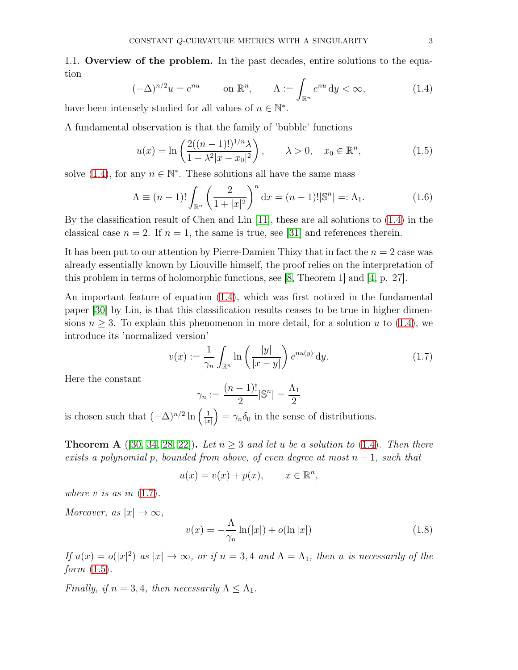1.1. Overview of the problem. In the past decades, entire solutions to the equation

<span id="page-2-0"></span>
$$
(-\Delta)^{n/2}u = e^{nu} \qquad \text{on } \mathbb{R}^n, \qquad \Lambda := \int_{\mathbb{R}^n} e^{nu} \, \mathrm{d}y < \infty,\tag{1.4}
$$

have been intensely studied for all values of  $n \in \mathbb{N}^*$ .

A fundamental observation is that the family of 'bubble' functions

<span id="page-2-2"></span>
$$
u(x) = \ln\left(\frac{2((n-1)!)^{1/n}\lambda}{1 + \lambda^2|x - x_0|^2}\right), \qquad \lambda > 0, \quad x_0 \in \mathbb{R}^n,
$$
 (1.5)

solve [\(1.4\)](#page-2-0), for any  $n \in \mathbb{N}^*$ . These solutions all have the same mass

<span id="page-2-3"></span>
$$
\Lambda \equiv (n-1)! \int_{\mathbb{R}^n} \left( \frac{2}{1+|x|^2} \right)^n dx = (n-1)! |\mathbb{S}^n| =: \Lambda_1.
$$
 (1.6)

By the classification result of Chen and Lin [\[11\]](#page-35-3), these are all solutions to [\(1.4\)](#page-2-0) in the classical case  $n = 2$ . If  $n = 1$ , the same is true, see [\[31\]](#page-36-2) and references therein.

It has been put to our attention by Pierre-Damien Thizy that in fact the  $n = 2$  case was already essentially known by Liouville himself, the proof relies on the interpretation of this problem in terms of holomorphic functions, see [\[8,](#page-35-4) Theorem 1] and [\[4,](#page-35-5) p. 27].

An important feature of equation [\(1.4\)](#page-2-0), which was first noticed in the fundamental paper [\[30\]](#page-36-3) by Lin, is that this classification results ceases to be true in higher dimensions  $n \geq 3$ . To explain this phenomenon in more detail, for a solution u to [\(1.4\)](#page-2-0), we introduce its 'normalized version'

<span id="page-2-1"></span>
$$
v(x) := \frac{1}{\gamma_n} \int_{\mathbb{R}^n} \ln\left(\frac{|y|}{|x-y|}\right) e^{nu(y)} dy.
$$
 (1.7)

Here the constant

$$
\gamma_n := \frac{(n-1)!}{2} |\mathbb{S}^n| = \frac{\Lambda_1}{2}
$$

is chosen such that  $(-\Delta)^{n/2} \ln \left( \frac{1}{|x|} \right)$  $|x|$  $= \gamma_n \delta_0$  in the sense of distributions.

**Theorem A** ([\[30,](#page-36-3) [34,](#page-36-4) [28,](#page-36-5) [22\]](#page-35-6)). Let  $n \geq 3$  and let u be a solution to [\(1.4\)](#page-2-0). Then there exists a polynomial p, bounded from above, of even degree at most  $n-1$ , such that

$$
u(x) = v(x) + p(x), \qquad x \in \mathbb{R}^n,
$$

where v is as in  $(1.7)$ .

Moreover, as  $|x| \to \infty$ ,

$$
v(x) = -\frac{\Lambda}{\gamma_n} \ln(|x|) + o(\ln|x|)
$$
\n(1.8)

If  $u(x) = o(|x|^2)$  as  $|x| \to \infty$ , or if  $n = 3, 4$  and  $\Lambda = \Lambda_1$ , then u is necessarily of the form  $(1.5)$ .

Finally, if  $n = 3, 4$ , then necessarily  $\Lambda < \Lambda_1$ .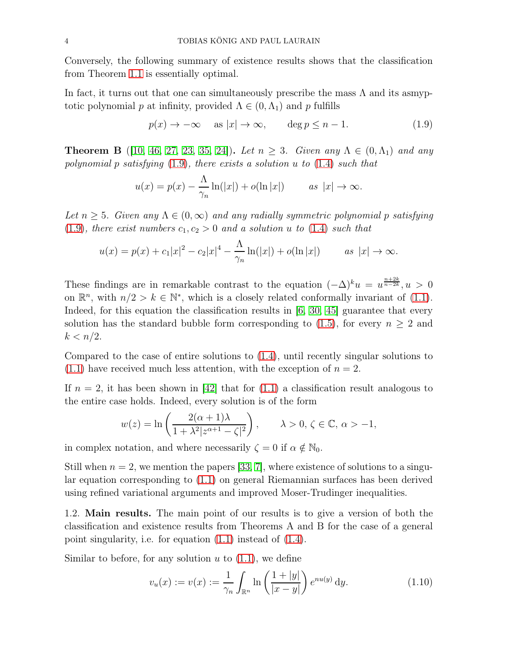Conversely, the following summary of existence results shows that the classification from Theorem [1.1](#page-2-1) is essentially optimal.

In fact, it turns out that one can simultaneously prescribe the mass  $\Lambda$  and its asmy totic polynomial p at infinity, provided  $\Lambda \in (0, \Lambda_1)$  and p fulfills

<span id="page-3-0"></span>
$$
p(x) \to -\infty \quad \text{as } |x| \to \infty, \qquad \deg p \le n - 1. \tag{1.9}
$$

**Theorem B** ([\[10,](#page-35-7) [46,](#page-36-6) [27,](#page-36-7) [23,](#page-35-8) [35,](#page-36-8) [24\]](#page-35-9)). Let  $n \geq 3$ . Given any  $\Lambda \in (0, \Lambda_1)$  and any polynomial p satisfying  $(1.9)$ , there exists a solution u to  $(1.4)$  such that

$$
u(x) = p(x) - \frac{\Lambda}{\gamma_n} \ln(|x|) + o(\ln|x|) \qquad \text{as } |x| \to \infty.
$$

Let  $n > 5$ . Given any  $\Lambda \in (0, \infty)$  and any radially symmetric polynomial p satisfying [\(1.9\)](#page-3-0), there exist numbers  $c_1, c_2 > 0$  and a solution u to [\(1.4\)](#page-2-0) such that

$$
u(x) = p(x) + c_1|x|^2 - c_2|x|^4 - \frac{\Lambda}{\gamma_n}\ln(|x|) + o(\ln|x|) \qquad \text{as } |x| \to \infty.
$$

These findings are in remarkable contrast to the equation  $(-\Delta)^k u = u^{\frac{n+2k}{n-2k}}$ ,  $u > 0$ on  $\mathbb{R}^n$ , with  $n/2 > k \in \mathbb{N}^*$ , which is a closely related conformally invariant of [\(1.1\)](#page-0-0). Indeed, for this equation the classification results in  $(6, 30, 45)$  $(6, 30, 45)$  $(6, 30, 45)$  guarantee that every solution has the standard bubble form corresponding to [\(1.5\)](#page-2-2), for every  $n \geq 2$  and  $k < n/2$ .

Compared to the case of entire solutions to [\(1.4\)](#page-2-0), until recently singular solutions to  $(1.1)$  have received much less attention, with the exception of  $n = 2$ .

If  $n = 2$ , it has been shown in [\[42\]](#page-36-10) that for [\(1.1\)](#page-0-0) a classification result analogous to the entire case holds. Indeed, every solution is of the form

$$
w(z) = \ln\left(\frac{2(\alpha+1)\lambda}{1+\lambda^2|z^{\alpha+1}-\zeta|^2}\right), \qquad \lambda > 0, \, \zeta \in \mathbb{C}, \, \alpha > -1,
$$

in complex notation, and where necessarily  $\zeta = 0$  if  $\alpha \notin \mathbb{N}_0$ .

Still when  $n = 2$ , we mention the papers [\[33,](#page-36-11) [7\]](#page-35-11), where existence of solutions to a singular equation corresponding to [\(1.1\)](#page-0-0) on general Riemannian surfaces has been derived using refined variational arguments and improved Moser-Trudinger inequalities.

1.2. Main results. The main point of our results is to give a version of both the classification and existence results from Theorems A and B for the case of a general point singularity, i.e. for equation [\(1.1\)](#page-0-0) instead of [\(1.4\)](#page-2-0).

Similar to before, for any solution  $u$  to  $(1.1)$ , we define

<span id="page-3-1"></span>
$$
v_u(x) := v(x) := \frac{1}{\gamma_n} \int_{\mathbb{R}^n} \ln\left(\frac{1+|y|}{|x-y|}\right) e^{nu(y)} dy.
$$
 (1.10)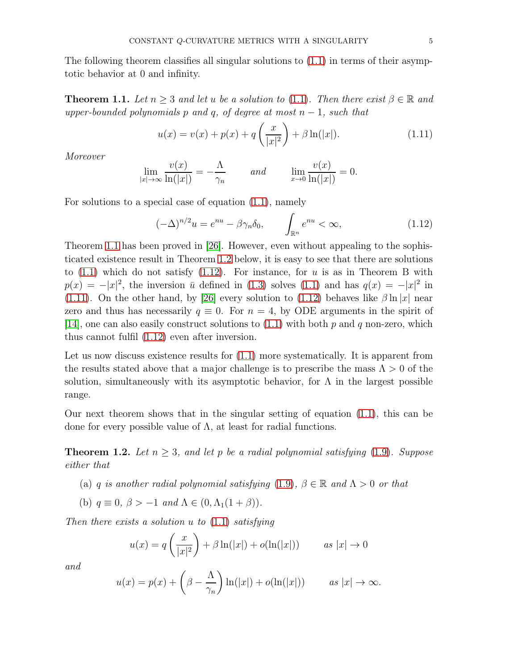The following theorem classifies all singular solutions to  $(1.1)$  in terms of their asymptotic behavior at 0 and infinity.

<span id="page-4-0"></span>**Theorem 1.1.** Let  $n > 3$  and let u be a solution to [\(1.1\)](#page-0-0). Then there exist  $\beta \in \mathbb{R}$  and upper-bounded polynomials p and q, of degree at most  $n-1$ , such that

<span id="page-4-3"></span>
$$
u(x) = v(x) + p(x) + q\left(\frac{x}{|x|^2}\right) + \beta \ln(|x|). \tag{1.11}
$$

Moreover

$$
\lim_{|x| \to \infty} \frac{v(x)}{\ln(|x|)} = -\frac{\Lambda}{\gamma_n} \quad \text{and} \quad \lim_{x \to 0} \frac{v(x)}{\ln(|x|)} = 0.
$$

For solutions to a special case of equation [\(1.1\)](#page-0-0), namely

<span id="page-4-2"></span>
$$
(-\Delta)^{n/2}u = e^{nu} - \beta \gamma_n \delta_0, \qquad \int_{\mathbb{R}^n} e^{nu} < \infty,
$$
\n(1.12)

Theorem [1.1](#page-4-0) has been proved in [\[26\]](#page-36-0). However, even without appealing to the sophisticated existence result in Theorem [1.2](#page-4-1) below, it is easy to see that there are solutions to  $(1.1)$  which do not satisfy  $(1.12)$ . For instance, for u is as in Theorem B with  $p(x) = -|x|^2$ , the inversion  $\bar{u}$  defined in [\(1.3\)](#page-1-1) solves [\(1.1\)](#page-0-0) and has  $q(x) = -|x|^2$  in [\(1.11\)](#page-4-3). On the other hand, by [\[26\]](#page-36-0) every solution to [\(1.12\)](#page-4-2) behaves like  $\beta \ln |x|$  near zero and thus has necessarily  $q \equiv 0$ . For  $n = 4$ , by ODE arguments in the spirit of [\[14\]](#page-35-2), one can also easily construct solutions to  $(1.1)$  with both p and q non-zero, which thus cannot fulfil [\(1.12\)](#page-4-2) even after inversion.

Let us now discuss existence results for  $(1.1)$  more systematically. It is apparent from the results stated above that a major challenge is to prescribe the mass  $\Lambda > 0$  of the solution, simultaneously with its asymptotic behavior, for  $\Lambda$  in the largest possible range.

Our next theorem shows that in the singular setting of equation [\(1.1\)](#page-0-0), this can be done for every possible value of Λ, at least for radial functions.

<span id="page-4-1"></span>**Theorem 1.2.** Let  $n \geq 3$ , and let p be a radial polynomial satisfying [\(1.9\)](#page-3-0). Suppose either that

- (a) q is another radial polynomial satisfying [\(1.9\)](#page-3-0),  $\beta \in \mathbb{R}$  and  $\Lambda > 0$  or that
- (b)  $q \equiv 0$ ,  $\beta > -1$  and  $\Lambda \in (0, \Lambda_1(1+\beta))$ .

Then there exists a solution  $u$  to  $(1.1)$  satisfying

$$
u(x) = q\left(\frac{x}{|x|^2}\right) + \beta \ln(|x|) + o(\ln(|x|)) \qquad \text{as } |x| \to 0
$$

and

$$
u(x) = p(x) + \left(\beta - \frac{\Lambda}{\gamma_n}\right) \ln(|x|) + o(\ln(|x|)) \qquad \text{as } |x| \to \infty.
$$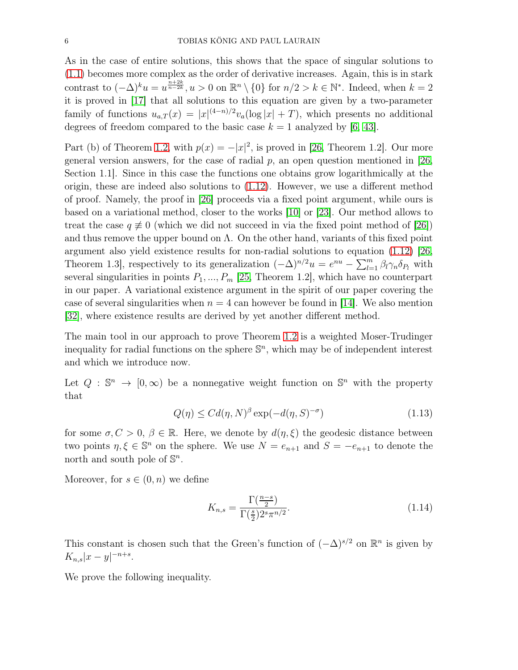As in the case of entire solutions, this shows that the space of singular solutions to [\(1.1\)](#page-0-0) becomes more complex as the order of derivative increases. Again, this is in stark contrast to  $(-\Delta)^k u = u^{\frac{n+2k}{n-2k}}$ ,  $u > 0$  on  $\mathbb{R}^n \setminus \{0\}$  for  $n/2 > k \in \mathbb{N}^*$ . Indeed, when  $k = 2$ it is proved in [\[17\]](#page-35-12) that all solutions to this equation are given by a two-parameter family of functions  $u_{a,T}(x) = |x|^{(4-n)/2} v_a(\log |x| + T)$ , which presents no additional degrees of freedom compared to the basic case  $k = 1$  analyzed by [\[6,](#page-35-10) [43\]](#page-36-12).

Part (b) of Theorem [1.2,](#page-4-1) with  $p(x) = -|x|^2$ , is proved in [\[26,](#page-36-0) Theorem 1.2]. Our more general version answers, for the case of radial  $p$ , an open question mentioned in [\[26,](#page-36-0) Section 1.1]. Since in this case the functions one obtains grow logarithmically at the origin, these are indeed also solutions to [\(1.12\)](#page-4-2). However, we use a different method of proof. Namely, the proof in [\[26\]](#page-36-0) proceeds via a fixed point argument, while ours is based on a variational method, closer to the works [\[10\]](#page-35-7) or [\[23\]](#page-35-8). Our method allows to treat the case  $q \neq 0$  (which we did not succeed in via the fixed point method of [\[26\]](#page-36-0)) and thus remove the upper bound on  $\Lambda$ . On the other hand, variants of this fixed point argument also yield existence results for non-radial solutions to equation [\(1.12\)](#page-4-2) [\[26,](#page-36-0) Theorem 1.3, respectively to its generalization  $(-\Delta)^{n/2}u = e^{nu} - \sum_{l=1}^{m} \beta_l \gamma_n \delta_{P_l}$  with several singularities in points  $P_1, ..., P_m$  [\[25,](#page-35-13) Theorem 1.2], which have no counterpart in our paper. A variational existence argument in the spirit of our paper covering the case of several singularities when  $n = 4$  can however be found in [\[14\]](#page-35-2). We also mention [\[32\]](#page-36-13), where existence results are derived by yet another different method.

The main tool in our approach to prove Theorem [1.2](#page-4-1) is a weighted Moser-Trudinger inequality for radial functions on the sphere  $\mathbb{S}^n$ , which may be of independent interest and which we introduce now.

Let  $Q : \mathbb{S}^n \to [0, \infty)$  be a nonnegative weight function on  $\mathbb{S}^n$  with the property that

<span id="page-5-0"></span>
$$
Q(\eta) \le C d(\eta, N)^{\beta} \exp(-d(\eta, S)^{-\sigma}) \tag{1.13}
$$

for some  $\sigma, C > 0, \beta \in \mathbb{R}$ . Here, we denote by  $d(\eta, \xi)$  the geodesic distance between two points  $\eta, \xi \in \mathbb{S}^n$  on the sphere. We use  $N = e_{n+1}$  and  $S = -e_{n+1}$  to denote the north and south pole of  $\mathbb{S}^n$ .

Moreover, for  $s \in (0, n)$  we define

<span id="page-5-1"></span>
$$
K_{n,s} = \frac{\Gamma(\frac{n-s}{2})}{\Gamma(\frac{s}{2})2^s \pi^{n/2}}.\tag{1.14}
$$

This constant is chosen such that the Green's function of  $(-\Delta)^{s/2}$  on  $\mathbb{R}^n$  is given by  $K_{n,s}|x-y|^{-n+s}.$ 

We prove the following inequality.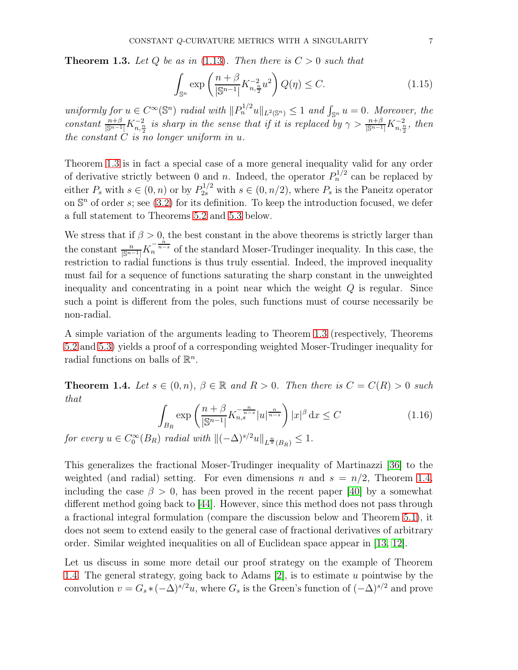<span id="page-6-0"></span>**Theorem 1.3.** Let Q be as in [\(1.13\)](#page-5-0). Then there is  $C > 0$  such that

$$
\int_{\mathbb{S}^n} \exp\left(\frac{n+\beta}{|\mathbb{S}^{n-1}|} K_{n,\frac{n}{2}}^{-2} u^2\right) Q(\eta) \le C. \tag{1.15}
$$

uniformly for  $u \in C^{\infty}(\mathbb{S}^n)$  radial with  $||P_n^{1/2}u||_{L^2(\mathbb{S}^n)} \leq 1$  and  $\int_{\mathbb{S}^n} u = 0$ . Moreover, the constant  $\frac{n+\beta}{\vert S^{n-1}\vert}K_{n,\frac{n}{2}}^{-2}$  is sharp in the sense that if it is replaced by  $\gamma>\frac{n+\beta}{\vert S^{n-1}\vert}K_{n,\frac{n}{2}}^{-2}$ , then the constant  $C$  is no longer uniform in  $u$ .

Theorem [1.3](#page-6-0) is in fact a special case of a more general inequality valid for any order of derivative strictly between 0 and *n*. Indeed, the operator  $P_n^{1/2}$  can be replaced by either  $P_s$  with  $s \in (0, n)$  or by  $P_{2s}^{1/2}$  with  $s \in (0, n/2)$ , where  $P_s$  is the Paneitz operator on  $\mathbb{S}^n$  of order s; see [\(3.2\)](#page-16-1) for its definition. To keep the introduction focused, we defer a full statement to Theorems [5.2](#page-21-0) and [5.3](#page-21-1) below.

We stress that if  $\beta > 0$ , the best constant in the above theorems is strictly larger than the constant  $\frac{n}{\left|\mathbb{S}^{n-1}\right|} K_n^{-\frac{n}{n-s}}$  of the standard Moser-Trudinger inequality. In this case, the restriction to radial functions is thus truly essential. Indeed, the improved inequality must fail for a sequence of functions saturating the sharp constant in the unweighted inequality and concentrating in a point near which the weight  $Q$  is regular. Since such a point is different from the poles, such functions must of course necessarily be non-radial.

A simple variation of the arguments leading to Theorem [1.3](#page-6-0) (respectively, Theorems [5.2](#page-21-0) and [5.3\)](#page-21-1) yields a proof of a corresponding weighted Moser-Trudinger inequality for radial functions on balls of  $\mathbb{R}^n$ .

<span id="page-6-1"></span>**Theorem 1.4.** Let  $s \in (0, n)$ ,  $\beta \in \mathbb{R}$  and  $R > 0$ . Then there is  $C = C(R) > 0$  such that

<span id="page-6-2"></span>
$$
\int_{B_R} \exp\left(\frac{n+\beta}{|\mathbb{S}^{n-1}|} K_{n,s}^{-\frac{n}{n-s}} |u|^{\frac{n}{n-s}}\right) |x|^\beta \, \mathrm{d}x \le C \tag{1.16}
$$

for every  $u \in C_0^{\infty}(B_R)$  radial with  $\|(-\Delta)^{s/2}u\|_{L^{\frac{n}{s}}(B_R)} \leq 1$ .

This generalizes the fractional Moser-Trudinger inequality of Martinazzi [\[36\]](#page-36-14) to the weighted (and radial) setting. For even dimensions n and  $s = n/2$ , Theorem [1.4,](#page-6-1) including the case  $\beta > 0$ , has been proved in the recent paper [\[40\]](#page-36-15) by a somewhat different method going back to [\[44\]](#page-36-16). However, since this method does not pass through a fractional integral formulation (compare the discussion below and Theorem [5.1\)](#page-21-2), it does not seem to extend easily to the general case of fractional derivatives of arbitrary order. Similar weighted inequalities on all of Euclidean space appear in [\[13,](#page-35-14) [12\]](#page-35-15).

Let us discuss in some more detail our proof strategy on the example of Theorem [1.4.](#page-6-1) The general strategy, going back to Adams [\[2\]](#page-34-0), is to estimate u pointwise by the convolution  $v = G_s * (-\Delta)^{s/2}u$ , where  $G_s$  is the Green's function of  $(-\Delta)^{s/2}$  and prove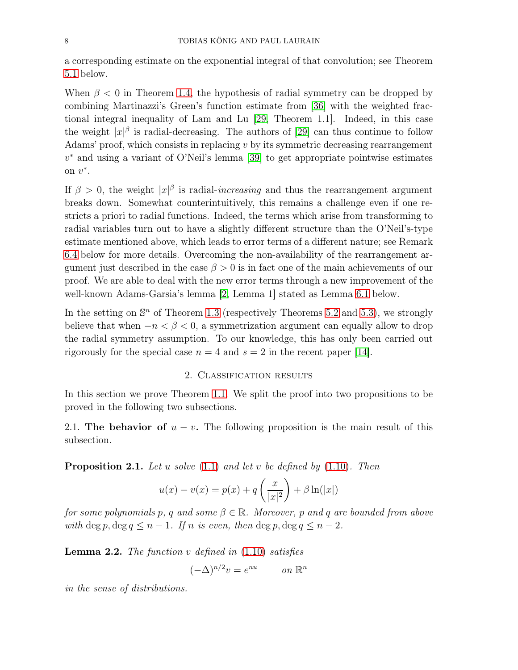a corresponding estimate on the exponential integral of that convolution; see Theorem [5.1](#page-21-2) below.

When  $\beta$  < 0 in Theorem [1.4,](#page-6-1) the hypothesis of radial symmetry can be dropped by combining Martinazzi's Green's function estimate from [\[36\]](#page-36-14) with the weighted fractional integral inequality of Lam and Lu [\[29,](#page-36-17) Theorem 1.1]. Indeed, in this case the weight  $|x|^\beta$  is radial-decreasing. The authors of [\[29\]](#page-36-17) can thus continue to follow Adams' proof, which consists in replacing v by its symmetric decreasing rearrangement v <sup>∗</sup> and using a variant of O'Neil's lemma [\[39\]](#page-36-18) to get appropriate pointwise estimates on  $v^*$ .

If  $\beta > 0$ , the weight  $|x|^\beta$  is radial-*increasing* and thus the rearrangement argument breaks down. Somewhat counterintuitively, this remains a challenge even if one restricts a priori to radial functions. Indeed, the terms which arise from transforming to radial variables turn out to have a slightly different structure than the O'Neil's-type estimate mentioned above, which leads to error terms of a different nature; see Remark [6.4](#page-30-0) below for more details. Overcoming the non-availability of the rearrangement argument just described in the case  $\beta > 0$  is in fact one of the main achievements of our proof. We are able to deal with the new error terms through a new improvement of the well-known Adams-Garsia's lemma [\[2,](#page-34-0) Lemma 1] stated as Lemma [6.1](#page-23-0) below.

In the setting on  $\mathbb{S}^n$  of Theorem [1.3](#page-6-0) (respectively Theorems [5.2](#page-21-0) and [5.3\)](#page-21-1), we strongly believe that when  $-n < \beta < 0$ , a symmetrization argument can equally allow to drop the radial symmetry assumption. To our knowledge, this has only been carried out rigorously for the special case  $n = 4$  and  $s = 2$  in the recent paper [\[14\]](#page-35-2).

# 2. Classification results

In this section we prove Theorem [1.1.](#page-4-0) We split the proof into two propositions to be proved in the following two subsections.

2.1. The behavior of  $u - v$ . The following proposition is the main result of this subsection.

<span id="page-7-0"></span>**Proposition 2.1.** Let u solve  $(1.1)$  and let v be defined by  $(1.10)$ . Then

$$
u(x) - v(x) = p(x) + q\left(\frac{x}{|x|^2}\right) + \beta \ln(|x|)
$$

for some polynomials p, q and some  $\beta \in \mathbb{R}$ . Moreover, p and q are bounded from above with deg p, deg  $q \leq n-1$ . If n is even, then deg p, deg  $q \leq n-2$ .

<span id="page-7-1"></span>**Lemma 2.2.** The function v defined in  $(1.10)$  satisfies

$$
(-\Delta)^{n/2}v = e^{nu} \qquad on \ \mathbb{R}^n
$$

in the sense of distributions.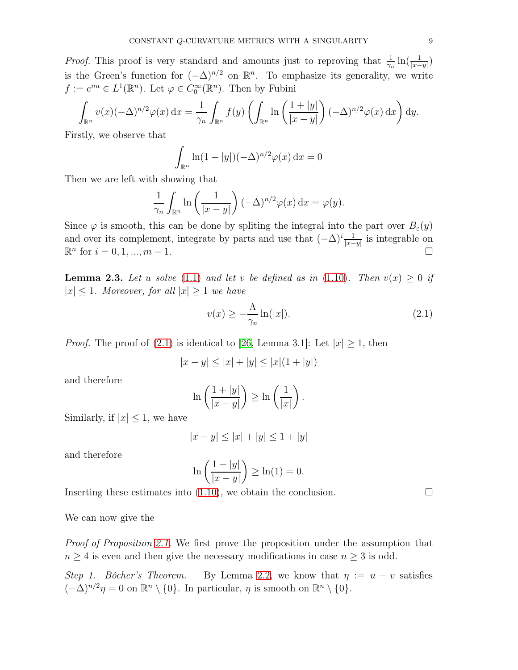*Proof.* This proof is very standard and amounts just to reproving that  $\frac{1}{\gamma}$  $\frac{1}{\gamma_n} \ln\left(\frac{1}{|x-y|}\right)$ is the Green's function for  $(-\Delta)^{n/2}$  on  $\mathbb{R}^n$ . To emphasize its generality, we write  $f := e^{nu} \in L^1(\mathbb{R}^n)$ . Let  $\varphi \in C_0^{\infty}(\mathbb{R}^n)$ . Then by Fubini

$$
\int_{\mathbb{R}^n} v(x)(-\Delta)^{n/2} \varphi(x) dx = \frac{1}{\gamma_n} \int_{\mathbb{R}^n} f(y) \left( \int_{\mathbb{R}^n} \ln \left( \frac{1+|y|}{|x-y|} \right) (-\Delta)^{n/2} \varphi(x) dx \right) dy.
$$

Firstly, we observe that

$$
\int_{\mathbb{R}^n} \ln(1+|y|)(-\Delta)^{n/2} \varphi(x) \, \mathrm{d}x = 0
$$

Then we are left with showing that

$$
\frac{1}{\gamma_n} \int_{\mathbb{R}^n} \ln \left( \frac{1}{|x-y|} \right) (-\Delta)^{n/2} \varphi(x) \, \mathrm{d}x = \varphi(y).
$$

Since  $\varphi$  is smooth, this can be done by spliting the integral into the part over  $B_{\varepsilon}(y)$ and over its complement, integrate by parts and use that  $(-\Delta)^i \frac{1}{|x-y|}$  is integrable on  $\mathbb{R}^n$  for  $i = 0, 1, ..., m - 1$ .

<span id="page-8-1"></span>**Lemma 2.3.** Let u solve [\(1.1\)](#page-0-0) and let v be defined as in [\(1.10\)](#page-3-1). Then  $v(x) \ge 0$  if  $|x| \leq 1$ . Moreover, for all  $|x| \geq 1$  we have

<span id="page-8-0"></span>
$$
v(x) \ge -\frac{\Lambda}{\gamma_n} \ln(|x|). \tag{2.1}
$$

*Proof.* The proof of [\(2.1\)](#page-8-0) is identical to [\[26,](#page-36-0) Lemma 3.1]: Let  $|x| \ge 1$ , then

$$
|x - y| \le |x| + |y| \le |x|(1 + |y|)
$$

and therefore

$$
\ln\left(\frac{1+|y|}{|x-y|}\right) \ge \ln\left(\frac{1}{|x|}\right).
$$

Similarly, if  $|x| \leq 1$ , we have

$$
|x - y| \le |x| + |y| \le 1 + |y|
$$

and therefore

$$
\ln\left(\frac{1+|y|}{|x-y|}\right) \ge \ln(1) = 0.
$$

Inserting these estimates into  $(1.10)$ , we obtain the conclusion.

We can now give the

Proof of Proposition [2.1.](#page-7-0) We first prove the proposition under the assumption that  $n \geq 4$  is even and then give the necessary modifications in case  $n \geq 3$  is odd.

Step 1. Bôcher's Theorem. By Lemma [2.2,](#page-7-1) we know that  $\eta := u - v$  satisfies  $(-\Delta)^{n/2}\eta = 0$  on  $\mathbb{R}^n \setminus \{0\}$ . In particular,  $\eta$  is smooth on  $\mathbb{R}^n \setminus \{0\}$ .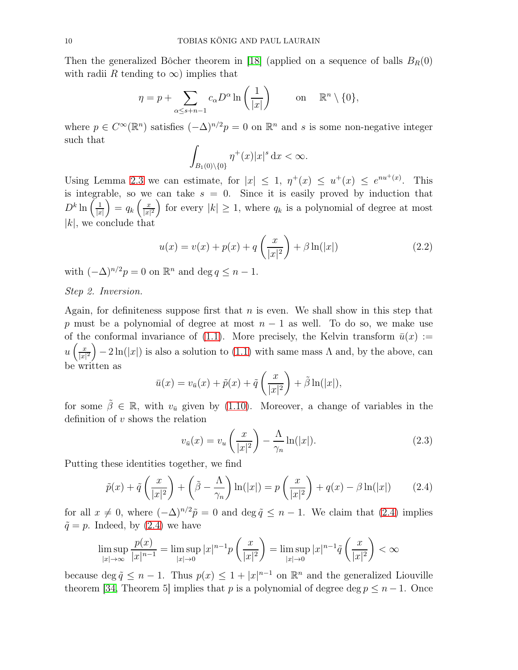Then the generalized Bôcher theorem in [\[18\]](#page-35-16) (applied on a sequence of balls  $B_R(0)$ with radii R tending to  $\infty$ ) implies that

$$
\eta = p + \sum_{\alpha \le s+n-1} c_{\alpha} D^{\alpha} \ln \left( \frac{1}{|x|} \right) \qquad \text{on} \quad \mathbb{R}^n \setminus \{0\},
$$

where  $p \in C^{\infty}(\mathbb{R}^n)$  satisfies  $(-\Delta)^{n/2}p = 0$  on  $\mathbb{R}^n$  and s is some non-negative integer such that

$$
\int_{B_1(0)\setminus\{0\}} \eta^+(x)|x|^s\,\mathrm{d}x < \infty.
$$

Using Lemma [2.3](#page-8-1) we can estimate, for  $|x| \leq 1$ ,  $\eta^+(x) \leq u^+(x) \leq e^{nu^+(x)}$ . This is integrable, so we can take  $s = 0$ . Since it is easily proved by induction that  $D^k \ln\left(\frac{1}{\ln n}\right)$  $|x|$  $= q_k \left( \frac{x}{|x|} \right)$  $\left(\frac{x}{|x|^2}\right)$  for every  $|k| \geq 1$ , where  $q_k$  is a polynomial of degree at most  $|k|$ , we conclude that

<span id="page-9-1"></span>
$$
u(x) = v(x) + p(x) + q\left(\frac{x}{|x|^2}\right) + \beta \ln(|x|)
$$
 (2.2)

with  $(-\Delta)^{n/2}p = 0$  on  $\mathbb{R}^n$  and  $\deg q \leq n - 1$ .

Step 2. Inversion.

Again, for definiteness suppose first that  $n$  is even. We shall show in this step that p must be a polynomial of degree at most  $n-1$  as well. To do so, we make use of the conformal invariance of [\(1.1\)](#page-0-0). More precisely, the Kelvin transform  $\bar{u}(x) :=$  $u\left(\frac{x}{|x|}\right)$  $\left(\frac{x}{|x|^2}\right) - 2\ln(|x|)$  is also a solution to [\(1.1\)](#page-0-0) with same mass  $\Lambda$  and, by the above, can be written as

$$
\bar{u}(x) = v_{\bar{u}}(x) + \tilde{p}(x) + \tilde{q}\left(\frac{x}{|x|^2}\right) + \tilde{\beta}\ln(|x|),
$$

for some  $\tilde{\beta} \in \mathbb{R}$ , with  $v_{\bar{u}}$  given by [\(1.10\)](#page-3-1). Moreover, a change of variables in the definition of v shows the relation

<span id="page-9-2"></span>
$$
v_{\bar{u}}(x) = v_u\left(\frac{x}{|x|^2}\right) - \frac{\Lambda}{\gamma_n} \ln(|x|). \tag{2.3}
$$

Putting these identities together, we find

<span id="page-9-0"></span>
$$
\tilde{p}(x) + \tilde{q}\left(\frac{x}{|x|^2}\right) + \left(\tilde{\beta} - \frac{\Lambda}{\gamma_n}\right) \ln(|x|) = p\left(\frac{x}{|x|^2}\right) + q(x) - \beta \ln(|x|) \tag{2.4}
$$

for all  $x \neq 0$ , where  $(-\Delta)^{n/2}\tilde{p} = 0$  and  $\deg \tilde{q} \leq n - 1$ . We claim that [\(2.4\)](#page-9-0) implies  $\tilde{q} = p$ . Indeed, by [\(2.4\)](#page-9-0) we have

$$
\limsup_{|x| \to \infty} \frac{p(x)}{|x|^{n-1}} = \limsup_{|x| \to 0} |x|^{n-1} p\left(\frac{x}{|x|^2}\right) = \limsup_{|x| \to 0} |x|^{n-1} \tilde{q}\left(\frac{x}{|x|^2}\right) < \infty
$$

because deg  $\tilde{q} \leq n - 1$ . Thus  $p(x) \leq 1 + |x|^{n-1}$  on  $\mathbb{R}^n$  and the generalized Liouville theorem [\[34,](#page-36-4) Theorem 5] implies that p is a polynomial of degree deg  $p \leq n-1$ . Once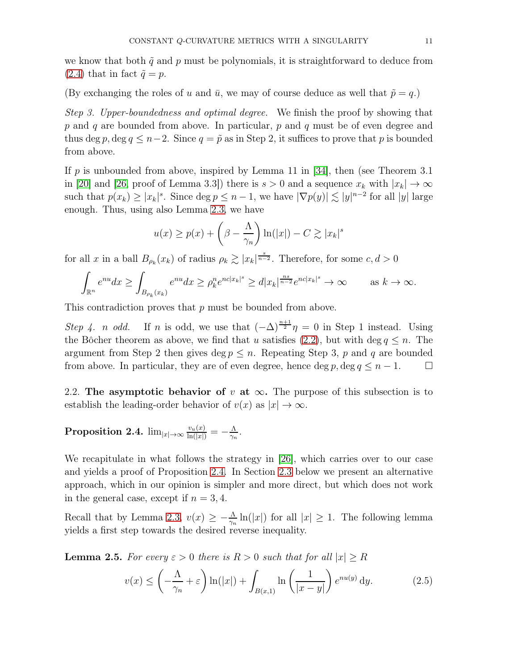we know that both  $\tilde{q}$  and p must be polynomials, it is straightforward to deduce from  $(2.4)$  that in fact  $\tilde{q} = p$ .

(By exchanging the roles of u and  $\bar{u}$ , we may of course deduce as well that  $\tilde{p} = q$ .)

Step 3. Upper-boundedness and optimal degree. We finish the proof by showing that  $p$  and  $q$  are bounded from above. In particular,  $p$  and  $q$  must be of even degree and thus deg p, deg  $q \leq n-2$ . Since  $q = \tilde{p}$  as in Step 2, it suffices to prove that p is bounded from above.

If p is unbounded from above, inspired by Lemma 11 in [\[34\]](#page-36-4), then (see Theorem 3.1) in [\[20\]](#page-35-17) and [\[26,](#page-36-0) proof of Lemma 3.3]) there is  $s > 0$  and a sequence  $x_k$  with  $|x_k| \to \infty$ such that  $p(x_k) \geq |x_k|^s$ . Since  $\deg p \leq n-1$ , we have  $|\nabla p(y)| \lesssim |y|^{n-2}$  for all  $|y|$  large enough. Thus, using also Lemma [2.3,](#page-8-1) we have

$$
u(x) \ge p(x) + \left(\beta - \frac{\Lambda}{\gamma_n}\right) \ln(|x|) - C \gtrsim |x_k|^s
$$

for all x in a ball  $B_{\rho_k}(x_k)$  of radius  $\rho_k \gtrsim |x_k|^{\frac{s}{n-2}}$ . Therefore, for some  $c, d > 0$ 

$$
\int_{\mathbb{R}^n} e^{nu} dx \ge \int_{B_{\rho_k}(x_k)} e^{nu} dx \ge \rho_k^n e^{nc|x_k|^s} \ge d|x_k|^{\frac{ns}{n-2}} e^{nc|x_k|^s} \to \infty \quad \text{as } k \to \infty.
$$

This contradiction proves that p must be bounded from above.

Step 4. *n* odd. If *n* is odd, we use that  $(-\Delta)^{\frac{n+1}{2}}\eta = 0$  in Step 1 instead. Using the Bôcher theorem as above, we find that u satisfies [\(2.2\)](#page-9-1), but with deg  $q \leq n$ . The argument from Step 2 then gives deg  $p \leq n$ . Repeating Step 3, p and q are bounded from above. In particular, they are of even degree, hence  $\deg p, \deg q \leq n-1$ .  $\Box$ 

2.2. The asymptotic behavior of v at  $\infty$ . The purpose of this subsection is to establish the leading-order behavior of  $v(x)$  as  $|x| \to \infty$ .

<span id="page-10-0"></span> $\bf{Proposition \ 2.4.} \ \lim_{|x|\rightarrow\infty} \frac{v_u(x)}{\ln(|x|)} = -\frac{\Lambda}{\gamma_n}$  $\frac{\Lambda}{\gamma_n}$  .

We recapitulate in what follows the strategy in [\[26\]](#page-36-0), which carries over to our case and yields a proof of Proposition [2.4.](#page-10-0) In Section [2.3](#page-13-0) below we present an alternative approach, which in our opinion is simpler and more direct, but which does not work in the general case, except if  $n = 3, 4$ .

Recall that by Lemma [2.3,](#page-8-1)  $v(x) \geq -\frac{\Lambda}{\gamma_n} \ln(|x|)$  for all  $|x| \geq 1$ . The following lemma yields a first step towards the desired reverse inequality.

<span id="page-10-1"></span>**Lemma 2.5.** For every  $\varepsilon > 0$  there is  $R > 0$  such that for all  $|x| \geq R$ 

<span id="page-10-2"></span>
$$
v(x) \le \left(-\frac{\Lambda}{\gamma_n} + \varepsilon\right) \ln(|x|) + \int_{B(x,1)} \ln\left(\frac{1}{|x-y|}\right) e^{nu(y)} dy.
$$
 (2.5)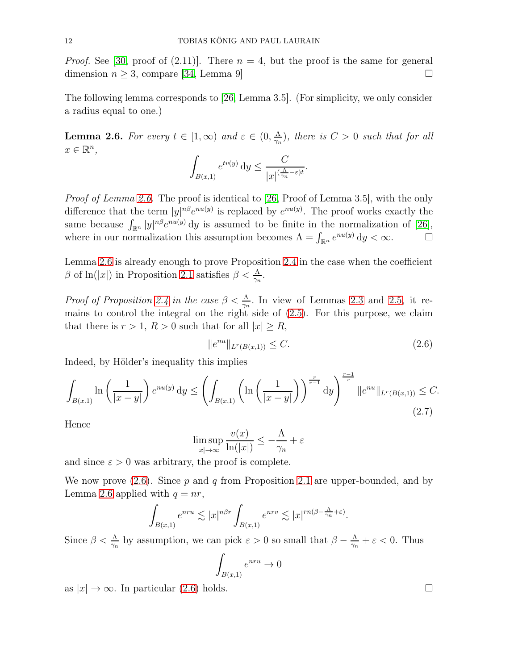*Proof.* See [\[30,](#page-36-3) proof of  $(2.11)$ ]. There  $n = 4$ , but the proof is the same for general dimension  $n \geq 3$ , compare [\[34,](#page-36-4) Lemma 9]

The following lemma corresponds to [\[26,](#page-36-0) Lemma 3.5]. (For simplicity, we only consider a radius equal to one.)

<span id="page-11-0"></span>**Lemma 2.6.** For every  $t \in [1, \infty)$  and  $\varepsilon \in (0, \frac{\Lambda}{\gamma_n})$  $\frac{\Lambda}{\gamma_n}$ ), there is  $C>0$  such that for all  $x \in \mathbb{R}^n$ ,

$$
\int_{B(x,1)} e^{tv(y)} dy \leq \frac{C}{|x|^{(\frac{\Lambda}{\gamma_n} - \varepsilon)t}}.
$$

Proof of Lemma [2.6.](#page-11-0) The proof is identical to [\[26,](#page-36-0) Proof of Lemma 3.5], with the only difference that the term  $|y|^{n\beta}e^{nu(y)}$  is replaced by  $e^{nu(y)}$ . The proof works exactly the same because  $\int_{\mathbb{R}^n} |y|^{n\beta} e^{nu(y)} dy$  is assumed to be finite in the normalization of [\[26\]](#page-36-0), where in our normalization this assumption becomes  $\Lambda = \int_{\mathbb{R}^n} e^{nu(y)} dy < \infty$ .

Lemma [2.6](#page-11-0) is already enough to prove Proposition [2.4](#page-10-0) in the case when the coefficient β of ln(|x|) in Proposition [2.1](#page-7-0) satisfies  $\beta < \frac{\Lambda}{\gamma_n}$ .

*Proof of Proposition [2.4](#page-10-0) in the case*  $\beta < \frac{\Lambda}{\gamma_n}$ . In view of Lemmas [2.3](#page-8-1) and [2.5,](#page-10-1) it remains to control the integral on the right side of [\(2.5\)](#page-10-2). For this purpose, we claim that there is  $r > 1$ ,  $R > 0$  such that for all  $|x| \geq R$ ,

<span id="page-11-1"></span>
$$
||e^{nu}||_{L^r(B(x,1))} \leq C. \tag{2.6}
$$

Indeed, by Hölder's inequality this implies

$$
\int_{B(x,1)} \ln\left(\frac{1}{|x-y|}\right) e^{nu(y)} dy \le \left(\int_{B(x,1)} \left(\ln\left(\frac{1}{|x-y|}\right)\right)^{\frac{r}{r-1}} dy\right)^{\frac{r-1}{r}} \|e^{nu}\|_{L^r(B(x,1))} \le C.
$$
\n(2.7)

Hence

$$
\limsup_{|x| \to \infty} \frac{v(x)}{\ln(|x|)} \le -\frac{\Lambda}{\gamma_n} + \varepsilon
$$

and since  $\varepsilon > 0$  was arbitrary, the proof is complete.

We now prove  $(2.6)$ . Since p and q from Proposition [2.1](#page-7-0) are upper-bounded, and by Lemma [2.6](#page-11-0) applied with  $q = nr$ ,

$$
\int_{B(x,1)} e^{nru} \lesssim |x|^{n\beta r} \int_{B(x,1)} e^{nrv} \lesssim |x|^{rn(\beta - \frac{\Lambda}{\gamma_n} + \varepsilon)}.
$$

Since  $\beta < \frac{\Lambda}{\gamma_n}$  by assumption, we can pick  $\varepsilon > 0$  so small that  $\beta - \frac{\Lambda}{\gamma_n}$  $\frac{\Lambda}{\gamma_n} + \varepsilon < 0$ . Thus

$$
\int_{B(x,1)} e^{nru} \to 0
$$

as  $|x| \to \infty$ . In particular [\(2.6\)](#page-11-1) holds.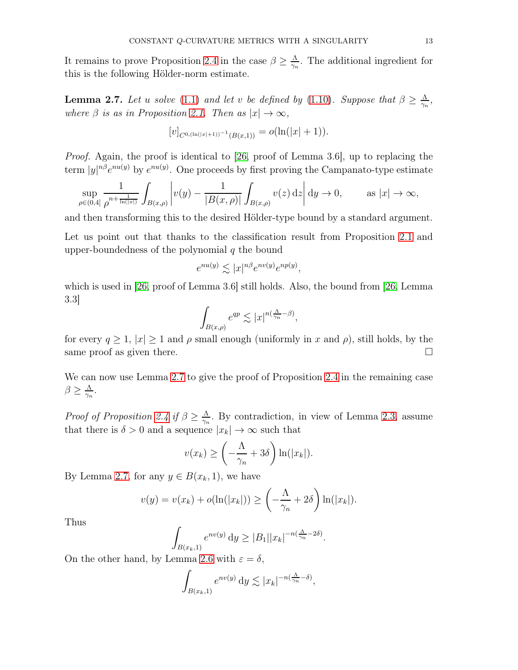It remains to prove Proposition [2.4](#page-10-0) in the case  $\beta \geq \frac{\Lambda}{\gamma_n}$  $\frac{\Lambda}{\gamma_n}$ . The additional ingredient for this is the following Hölder-norm estimate.

<span id="page-12-0"></span>**Lemma 2.7.** Let u solve [\(1.1\)](#page-0-0) and let v be defined by [\(1.10\)](#page-3-1). Suppose that  $\beta \ge \frac{\Lambda}{\gamma_n}$  $\frac{\Lambda}{\gamma_n},$ where  $\beta$  is as in Proposition [2.1.](#page-7-0) Then as  $|x| \to \infty$ ,

$$
[v]_{C^{0,(\ln(|x|+1))-1}(B(x,1))} = o(\ln(|x|+1)).
$$

Proof. Again, the proof is identical to [\[26,](#page-36-0) proof of Lemma 3.6], up to replacing the term  $|y|^{n\beta}e^{nu(y)}$  by  $e^{nu(y)}$ . One proceeds by first proving the Campanato-type estimate

$$
\sup_{\rho \in (0,4]} \frac{1}{\rho^{n+\frac{1}{\ln(|x|)}}} \int_{B(x,\rho)} \left| v(y) - \frac{1}{|B(x,\rho)|} \int_{B(x,\rho)} v(z) dz \right| dy \to 0, \quad \text{as } |x| \to \infty,
$$

and then transforming this to the desired Hölder-type bound by a standard argument.

Let us point out that thanks to the classification result from Proposition [2.1](#page-7-0) and upper-boundedness of the polynomial  $q$  the bound

$$
e^{nu(y)} \lesssim |x|^{n\beta} e^{nv(y)} e^{np(y)},
$$

which is used in [\[26,](#page-36-0) proof of Lemma 3.6] still holds. Also, the bound from [26, Lemma 3.3]

$$
\int_{B(x,\rho)} e^{qp} \lesssim |x|^{n(\frac{\Lambda}{\gamma_n} - \beta)},
$$

for every  $q \ge 1$ ,  $|x| \ge 1$  and  $\rho$  small enough (uniformly in x and  $\rho$ ), still holds, by the same proof as given there.  $\Box$ 

We can now use Lemma [2.7](#page-12-0) to give the proof of Proposition [2.4](#page-10-0) in the remaining case  $\beta \geq \frac{\Lambda}{\gamma_n}$  $\frac{\Lambda}{\gamma_n}$  .

Proof of Proposition [2.4](#page-10-0) if  $\beta \geq \frac{\Lambda}{\gamma_n}$  $\frac{\Lambda}{\gamma_n}$ . By contradiction, in view of Lemma [2.3,](#page-8-1) assume that there is  $\delta>0$  and a sequence  $|x_k|\to\infty$  such that

$$
v(x_k) \ge \left(-\frac{\Lambda}{\gamma_n} + 3\delta\right) \ln(|x_k|).
$$

By Lemma [2.7,](#page-12-0) for any  $y \in B(x_k, 1)$ , we have

$$
v(y) = v(x_k) + o(\ln(|x_k|)) \ge \left(-\frac{\Lambda}{\gamma_n} + 2\delta\right) \ln(|x_k|).
$$

Thus

$$
\int_{B(x_k,1)} e^{nv(y)} dy \ge |B_1||x_k|^{-n(\frac{\Lambda}{\gamma_n} - 2\delta)}.
$$

On the other hand, by Lemma [2.6](#page-11-0) with  $\varepsilon = \delta$ ,

$$
\int_{B(x_k,1)} e^{nv(y)} \, \mathrm{d}y \lesssim |x_k|^{-n(\frac{\Lambda}{\gamma_n} - \delta)},
$$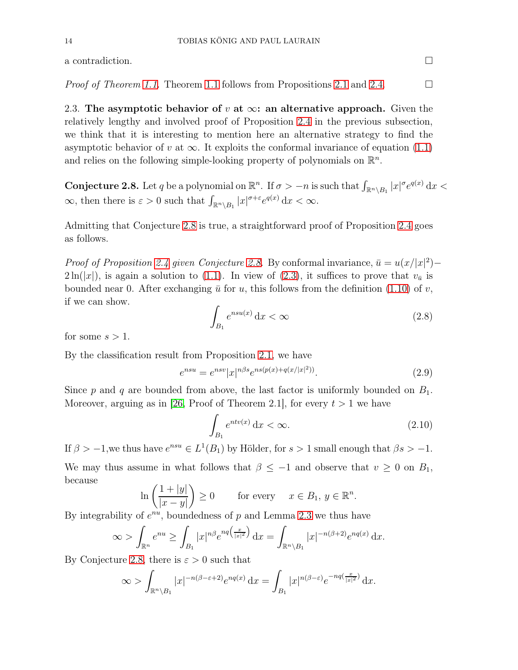a contradiction.  $\Box$ 

<span id="page-13-0"></span>*Proof of Theorem [1.1.](#page-4-0)* Theorem [1.1](#page-4-0) follows from Propositions [2.1](#page-7-0) and [2.4.](#page-10-0)  $\Box$ 

2.3. The asymptotic behavior of v at  $\infty$ : an alternative approach. Given the relatively lengthy and involved proof of Proposition [2.4](#page-10-0) in the previous subsection, we think that it is interesting to mention here an alternative strategy to find the asymptotic behavior of v at  $\infty$ . It exploits the conformal invariance of equation [\(1.1\)](#page-0-0) and relies on the following simple-looking property of polynomials on  $\mathbb{R}^n$ .

<span id="page-13-1"></span>**Conjecture 2.8.** Let q be a polynomial on  $\mathbb{R}^n$ . If  $\sigma > -n$  is such that  $\int_{\mathbb{R}^n \setminus B_1} |x|^{\sigma} e^{q(x)} dx$  $\infty$ , then there is  $\varepsilon > 0$  such that  $\int_{\mathbb{R}^n \setminus B_1} |x|^{\sigma + \varepsilon} e^{q(x)} dx < \infty$ .

Admitting that Conjecture [2.8](#page-13-1) is true, a straightforward proof of Proposition [2.4](#page-10-0) goes as follows.

*Proof of Proposition [2.4](#page-10-0) given Conjecture [2.8.](#page-13-1)* By conformal invariance,  $\bar{u} = u(x/|x|^2) 2\ln(|x|)$ , is again a solution to [\(1.1\)](#page-0-0). In view of [\(2.3\)](#page-9-2), it suffices to prove that  $v_{\bar{u}}$  is bounded near 0. After exchanging  $\bar{u}$  for u, this follows from the definition [\(1.10\)](#page-3-1) of v, if we can show.

<span id="page-13-4"></span>
$$
\int_{B_1} e^{nsu(x)} \, \mathrm{d}x < \infty \tag{2.8}
$$

for some  $s > 1$ .

By the classification result from Proposition [2.1,](#page-7-0) we have

<span id="page-13-3"></span>
$$
e^{nsu} = e^{nsv} |x|^{n\beta s} e^{ns(p(x) + q(x/|x|^2))}.
$$
\n(2.9)

Since  $p$  and  $q$  are bounded from above, the last factor is uniformly bounded on  $B_1$ . Moreover, arguing as in [\[26,](#page-36-0) Proof of Theorem 2.1], for every  $t > 1$  we have

<span id="page-13-2"></span>
$$
\int_{B_1} e^{ntv(x)} dx < \infty.
$$
\n(2.10)

If  $\beta > -1$ , we thus have  $e^{nsu} \in L^1(B_1)$  by Hölder, for  $s > 1$  small enough that  $\beta s > -1$ . We may thus assume in what follows that  $\beta \leq -1$  and observe that  $v \geq 0$  on  $B_1$ , because

$$
\ln\left(\frac{1+|y|}{|x-y|}\right) \ge 0 \quad \text{for every} \quad x \in B_1, y \in \mathbb{R}^n.
$$

By integrability of  $e^{nu}$ , boundedness of p and Lemma [2.3](#page-8-1) we thus have

$$
\infty > \int_{\mathbb{R}^n} e^{nu} \ge \int_{B_1} |x|^{n\beta} e^{nq\left(\frac{x}{|x|^2}\right)} dx = \int_{\mathbb{R}^n \setminus B_1} |x|^{-n(\beta+2)} e^{nq(x)} dx.
$$

By Conjecture [2.8,](#page-13-1) there is  $\varepsilon > 0$  such that

$$
\infty > \int_{\mathbb{R}^n \setminus B_1} |x|^{-n(\beta - \varepsilon + 2)} e^{nq(x)} \, \mathrm{d}x = \int_{B_1} |x|^{n(\beta - \varepsilon)} e^{-nq(\frac{x}{|x|^2})} \, \mathrm{d}x.
$$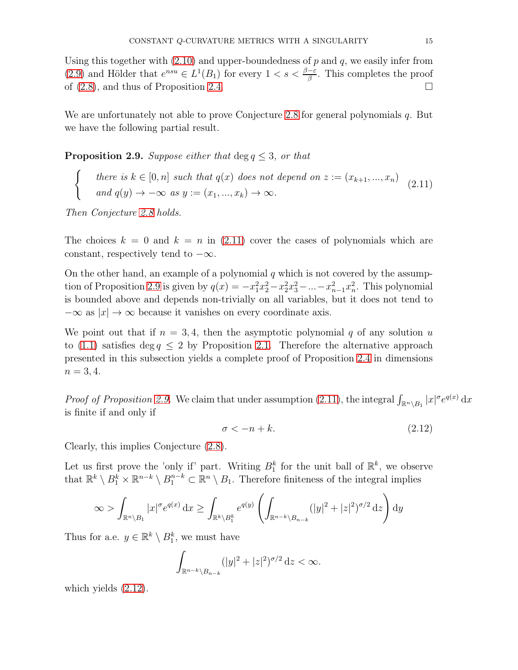Using this together with  $(2.10)$  and upper-boundedness of p and q, we easily infer from [\(2.9\)](#page-13-3) and Hölder that  $e^{nsu} \in L^1(B_1)$  for every  $1 < s < \frac{\beta-\varepsilon}{\beta}$ . This completes the proof of  $(2.8)$ , and thus of Proposition [2.4.](#page-10-0)

We are unfortunately not able to prove Conjecture [2.8](#page-13-1) for general polynomials q. But we have the following partial result.

<span id="page-14-1"></span>**Proposition 2.9.** Suppose either that  $\deg q \leq 3$ , or that

there is  $k \in [0, n]$  such that  $q(x)$  does not depend on  $z := (x_{k+1}, ..., x_n)$ and  $q(y) \rightarrow -\infty$  as  $y := (x_1, ..., x_k) \rightarrow \infty$ . (2.11)

Then Conjecture [2.8](#page-13-1) holds.

<span id="page-14-0"></span> $\int$ 

The choices  $k = 0$  and  $k = n$  in [\(2.11\)](#page-14-0) cover the cases of polynomials which are constant, respectively tend to  $-\infty$ .

On the other hand, an example of a polynomial  $q$  which is not covered by the assump-tion of Proposition [2.9](#page-14-1) is given by  $q(x) = -x_1^2 x_2^2 - x_2^2 x_3^2 - ... - x_{n-1}^2 x_n^2$ . This polynomial is bounded above and depends non-trivially on all variables, but it does not tend to  $-\infty$  as  $|x| \to \infty$  because it vanishes on every coordinate axis.

We point out that if  $n = 3, 4$ , then the asymptotic polynomial q of any solution u to [\(1.1\)](#page-0-0) satisfies deg  $q \leq 2$  by Proposition [2.1.](#page-7-0) Therefore the alternative approach presented in this subsection yields a complete proof of Proposition [2.4](#page-10-0) in dimensions  $n = 3, 4.$ 

*Proof of Proposition [2.9.](#page-14-1)* We claim that under assumption [\(2.11\)](#page-14-0), the integral  $\int_{\mathbb{R}^n \setminus B_1} |x|^\sigma e^{q(x)} dx$ is finite if and only if

<span id="page-14-2"></span>
$$
\sigma < -n + k. \tag{2.12}
$$

Clearly, this implies Conjecture [\(2.8\)](#page-13-1).

Let us first prove the 'only if' part. Writing  $B_1^k$  for the unit ball of  $\mathbb{R}^k$ , we observe that  $\mathbb{R}^k \setminus B_1^k \times \mathbb{R}^{n-k} \setminus B_1^{n-k} \subset \mathbb{R}^n \setminus B_1$ . Therefore finiteness of the integral implies

$$
\infty > \int_{\mathbb{R}^n \setminus B_1} |x|^{\sigma} e^{q(x)} dx \ge \int_{\mathbb{R}^k \setminus B_1^k} e^{q(y)} \left( \int_{\mathbb{R}^{n-k} \setminus B_{n-k}} (|y|^2 + |z|^2)^{\sigma/2} dz \right) dy
$$

Thus for a.e.  $y \in \mathbb{R}^k \setminus B_1^k$ , we must have

$$
\int_{\mathbb{R}^{n-k}\setminus B_{n-k}} (|y|^2+|z|^2)^{\sigma/2} dz < \infty.
$$

which yields [\(2.12\)](#page-14-2).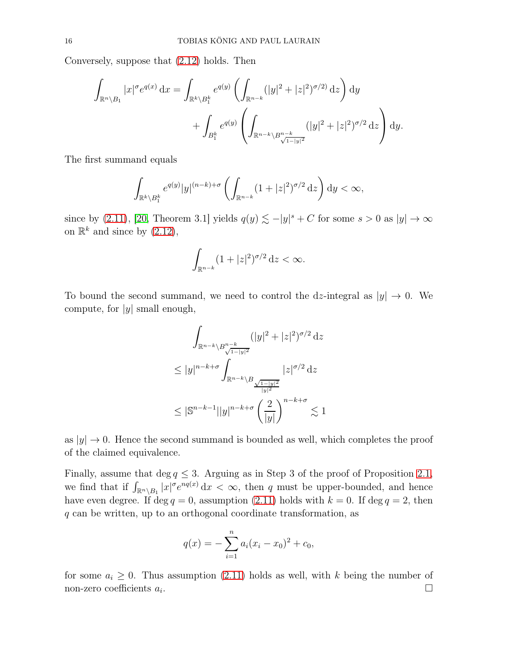Conversely, suppose that [\(2.12\)](#page-14-2) holds. Then

$$
\int_{\mathbb{R}^n \setminus B_1} |x|^{\sigma} e^{q(x)} dx = \int_{\mathbb{R}^k \setminus B_1^k} e^{q(y)} \left( \int_{\mathbb{R}^{n-k}} (|y|^2 + |z|^2)^{\sigma/2} dz \right) dy \n+ \int_{B_1^k} e^{q(y)} \left( \int_{\mathbb{R}^{n-k} \setminus B_{\sqrt{1-|y|^2}}^{n-k}} (|y|^2 + |z|^2)^{\sigma/2} dz \right) dy.
$$

The first summand equals

$$
\int_{\mathbb{R}^k \setminus B_1^k} e^{q(y)} |y|^{(n-k)+\sigma} \left( \int_{\mathbb{R}^{n-k}} (1+|z|^2)^{\sigma/2} dz \right) dy < \infty,
$$

since by [\(2.11\)](#page-14-0), [\[20,](#page-35-17) Theorem 3.1] yields  $q(y) \lesssim -|y|^s + C$  for some  $s > 0$  as  $|y| \to \infty$ on  $\mathbb{R}^k$  and since by  $(2.12)$ ,

$$
\int_{\mathbb{R}^{n-k}} (1+|z|^2)^{\sigma/2} dz < \infty.
$$

To bound the second summand, we need to control the dz-integral as  $|y| \to 0$ . We compute, for  $|y|$  small enough,

$$
\int_{\mathbb{R}^{n-k} \setminus B_{\sqrt{1-|y|^2}}^{n-k}} (|y|^2 + |z|^2)^{\sigma/2} dz
$$
  
\n
$$
\leq |y|^{n-k+\sigma} \int_{\mathbb{R}^{n-k} \setminus B_{\sqrt{1-|y|^2}} \atop |y|^2} |z|^{\sigma/2} dz
$$
  
\n
$$
\leq |\mathbb{S}^{n-k-1}| |y|^{n-k+\sigma} \left(\frac{2}{|y|}\right)^{n-k+\sigma} \lesssim 1
$$

as  $|y| \to 0$ . Hence the second summand is bounded as well, which completes the proof of the claimed equivalence.

Finally, assume that deg  $q \leq 3$ . Arguing as in Step 3 of the proof of Proposition [2.1,](#page-7-0) we find that if  $\int_{\mathbb{R}^n \setminus B_1} |x|^{\sigma} e^{nq(x)} dx < \infty$ , then q must be upper-bounded, and hence have even degree. If deg  $q = 0$ , assumption [\(2.11\)](#page-14-0) holds with  $k = 0$ . If deg  $q = 2$ , then q can be written, up to an orthogonal coordinate transformation, as

$$
q(x) = -\sum_{i=1}^{n} a_i (x_i - x_0)^2 + c_0,
$$

for some  $a_i \geq 0$ . Thus assumption [\(2.11\)](#page-14-0) holds as well, with k being the number of non-zero coefficients  $a_i$ . non-zero coefficients  $a_i$ . .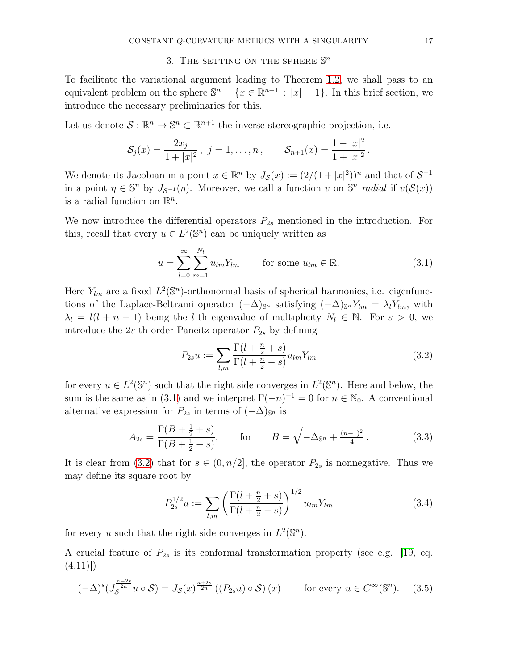# 3. THE SETTING ON THE SPHERE  $\mathbb{S}^n$

<span id="page-16-0"></span>To facilitate the variational argument leading to Theorem [1.2,](#page-4-1) we shall pass to an equivalent problem on the sphere  $\mathbb{S}^n = \{x \in \mathbb{R}^{n+1} : |x| = 1\}$ . In this brief section, we introduce the necessary preliminaries for this.

Let us denote  $S : \mathbb{R}^n \to \mathbb{S}^n \subset \mathbb{R}^{n+1}$  the inverse stereographic projection, i.e.

$$
\mathcal{S}_j(x) = \frac{2x_j}{1+|x|^2}, \ j = 1, \ldots, n, \qquad \mathcal{S}_{n+1}(x) = \frac{1-|x|^2}{1+|x|^2}.
$$

We denote its Jacobian in a point  $x \in \mathbb{R}^n$  by  $J_{\mathcal{S}}(x) := (2/(1+|x|^2))^n$  and that of  $\mathcal{S}^{-1}$ in a point  $\eta \in \mathbb{S}^n$  by  $J_{\mathcal{S}^{-1}}(\eta)$ . Moreover, we call a function v on  $\mathbb{S}^n$  radial if  $v(\mathcal{S}(x))$ is a radial function on  $\mathbb{R}^n$ .

We now introduce the differential operators  $P_{2s}$  mentioned in the introduction. For this, recall that every  $u \in L^2(\mathbb{S}^n)$  can be uniquely written as

<span id="page-16-2"></span>
$$
u = \sum_{l=0}^{\infty} \sum_{m=1}^{N_l} u_{lm} Y_{lm} \qquad \text{for some } u_{lm} \in \mathbb{R}.
$$
 (3.1)

Here  $Y_{lm}$  are a fixed  $L^2(\mathbb{S}^n)$ -orthonormal basis of spherical harmonics, i.e. eigenfunctions of the Laplace-Beltrami operator  $(-\Delta)_{\mathbb{S}^n}$  satisfying  $(-\Delta)_{\mathbb{S}^n} Y_{lm} = \lambda_l Y_{lm}$ , with  $\lambda_l = l(l + n - 1)$  being the *l*-th eigenvalue of multiplicity  $N_l \in \mathbb{N}$ . For  $s > 0$ , we introduce the 2s-th order Paneitz operator  $P_{2s}$  by defining

<span id="page-16-1"></span>
$$
P_{2s}u := \sum_{l,m} \frac{\Gamma(l + \frac{n}{2} + s)}{\Gamma(l + \frac{n}{2} - s)} u_{lm} Y_{lm}
$$
\n(3.2)

for every  $u \in L^2(\mathbb{S}^n)$  such that the right side converges in  $L^2(\mathbb{S}^n)$ . Here and below, the sum is the same as in [\(3.1\)](#page-16-2) and we interpret  $\Gamma(-n)^{-1} = 0$  for  $n \in \mathbb{N}_0$ . A conventional alternative expression for  $P_{2s}$  in terms of  $(-\Delta)_{\mathbb{S}^n}$  is

$$
A_{2s} = \frac{\Gamma(B + \frac{1}{2} + s)}{\Gamma(B + \frac{1}{2} - s)}, \quad \text{for} \quad B = \sqrt{-\Delta_{\mathbb{S}^n} + \frac{(n-1)^2}{4}}.
$$
 (3.3)

It is clear from [\(3.2\)](#page-16-1) that for  $s \in (0, n/2]$ , the operator  $P_{2s}$  is nonnegative. Thus we may define its square root by

<span id="page-16-4"></span>
$$
P_{2s}^{1/2}u := \sum_{l,m} \left(\frac{\Gamma(l+\frac{n}{2}+s)}{\Gamma(l+\frac{n}{2}-s)}\right)^{1/2} u_{lm} Y_{lm}
$$
(3.4)

for every u such that the right side converges in  $L^2(\mathbb{S}^n)$ .

A crucial feature of  $P_{2s}$  is its conformal transformation property (see e.g. [\[19,](#page-35-18) eq.  $(4.11)\right)$ 

<span id="page-16-3"></span>
$$
(-\Delta)^s \left(J_S^{\frac{n-2s}{2n}} u \circ \mathcal{S}\right) = J_{\mathcal{S}}(x)^{\frac{n+2s}{2n}} \left(\left(P_{2s} u\right) \circ \mathcal{S}\right)(x) \qquad \text{for every } u \in C^\infty(\mathbb{S}^n). \tag{3.5}
$$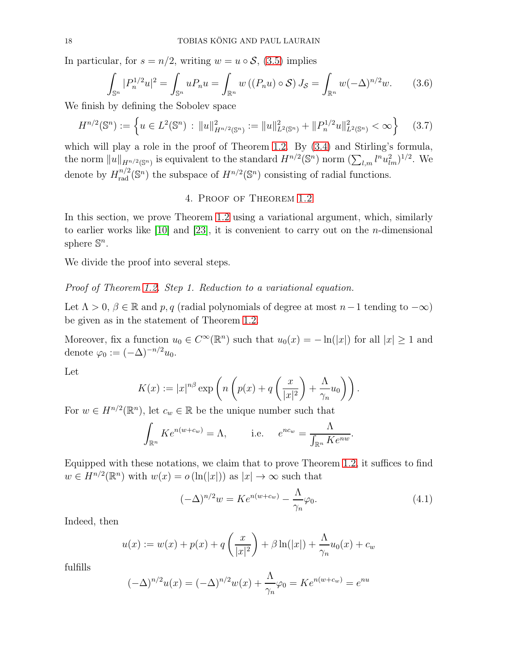In particular, for  $s = n/2$ , writing  $w = u \circ S$ , [\(3.5\)](#page-16-3) implies

$$
\int_{\mathbb{S}^n} |P_n^{1/2} u|^2 = \int_{\mathbb{S}^n} u P_n u = \int_{\mathbb{R}^n} w \left( (P_n u) \circ \mathcal{S} \right) J_{\mathcal{S}} = \int_{\mathbb{R}^n} w (-\Delta)^{n/2} w. \tag{3.6}
$$

We finish by defining the Sobolev space

<span id="page-17-1"></span>
$$
H^{n/2}(\mathbb{S}^n) := \left\{ u \in L^2(\mathbb{S}^n) : ||u||_{H^{n/2}(\mathbb{S}^n)}^2 := ||u||_{L^2(\mathbb{S}^n)}^2 + ||P_n^{1/2}u||_{L^2(\mathbb{S}^n)}^2 < \infty \right\} \tag{3.7}
$$

which will play a role in the proof of Theorem [1.2.](#page-4-1) By  $(3.4)$  and Stirling's formula, the norm  $||u||_{H^{n/2}(\mathbb{S}^n)}$  is equivalent to the standard  $H^{n/2}(\mathbb{S}^n)$  norm  $(\sum_{l,m} l^n u_{lm}^2)^{1/2}$ . We denote by  $H_{rad}^{n/2}(\mathbb{S}^n)$  the subspace of  $H^{n/2}(\mathbb{S}^n)$  consisting of radial functions.

# 4. Proof of Theorem [1.2](#page-4-1)

In this section, we prove Theorem [1.2](#page-4-1) using a variational argument, which, similarly to earlier works like [\[10\]](#page-35-7) and [\[23\]](#page-35-8), it is convenient to carry out on the *n*-dimensional sphere  $\mathbb{S}^n$ .

We divide the proof into several steps.

Proof of Theorem [1.2.](#page-4-1) Step 1. Reduction to a variational equation.

Let  $\Lambda > 0$ ,  $\beta \in \mathbb{R}$  and p, q (radial polynomials of degree at most  $n-1$  tending to  $-\infty$ ) be given as in the statement of Theorem [1.2.](#page-4-1)

Moreover, fix a function  $u_0 \in C^{\infty}(\mathbb{R}^n)$  such that  $u_0(x) = -\ln(|x|)$  for all  $|x| \ge 1$  and denote  $\varphi_0 := (-\Delta)^{-n/2} u_0$ .

Let

$$
K(x) := |x|^{n\beta} \exp\left(n\left(p(x) + q\left(\frac{x}{|x|^2}\right) + \frac{\Lambda}{\gamma_n}u_0\right)\right).
$$

For  $w \in H^{n/2}(\mathbb{R}^n)$ , let  $c_w \in \mathbb{R}$  be the unique number such that

$$
\int_{\mathbb{R}^n} K e^{n(w+c_w)} = \Lambda, \qquad \text{i.e.} \quad e^{nc_w} = \frac{\Lambda}{\int_{\mathbb{R}^n} K e^{nw}}.
$$

Equipped with these notations, we claim that to prove Theorem [1.2,](#page-4-1) it suffices to find  $w \in H^{n/2}(\mathbb{R}^n)$  with  $w(x) = o(\ln(|x|))$  as  $|x| \to \infty$  such that

<span id="page-17-0"></span>
$$
(-\Delta)^{n/2}w = Ke^{n(w+c_w)} - \frac{\Lambda}{\gamma_n}\varphi_0.
$$
\n(4.1)

Indeed, then

$$
u(x) := w(x) + p(x) + q\left(\frac{x}{|x|^2}\right) + \beta \ln(|x|) + \frac{\Lambda}{\gamma_n}u_0(x) + c_w
$$

fulfills

$$
(-\Delta)^{n/2}u(x) = (-\Delta)^{n/2}w(x) + \frac{\Lambda}{\gamma_n}\varphi_0 = Ke^{n(w+c_w)} = e^{nu}
$$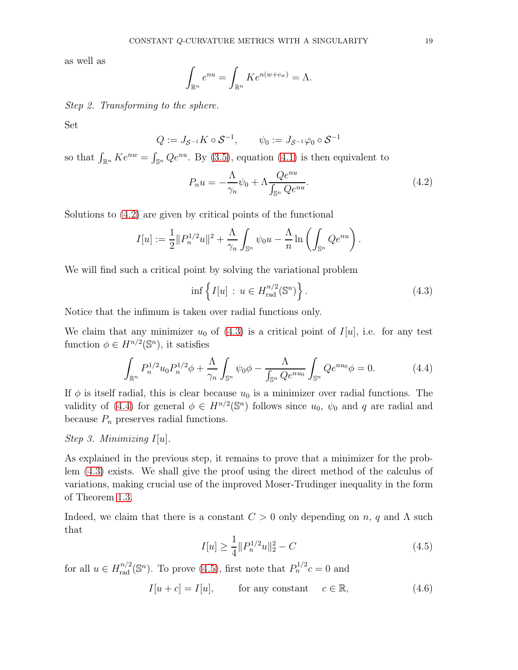as well as

$$
\int_{\mathbb{R}^n} e^{nu} = \int_{\mathbb{R}^n} K e^{n(w + c_w)} = \Lambda.
$$

Step 2. Transforming to the sphere.

Set

$$
Q := J_{S^{-1}} K \circ S^{-1}, \qquad \psi_0 := J_{S^{-1}} \varphi_0 \circ S^{-1}
$$

so that  $\int_{\mathbb{R}^n} K e^{nw} = \int_{\mathbb{S}^n} Q e^{nu}$ . By [\(3.5\)](#page-16-3), equation [\(4.1\)](#page-17-0) is then equivalent to

<span id="page-18-0"></span>
$$
P_n u = -\frac{\Lambda}{\gamma_n} \psi_0 + \Lambda \frac{Q e^{nu}}{\int_{\mathbb{S}^n} Q e^{nu}}.
$$
\n(4.2)

Solutions to [\(4.2\)](#page-18-0) are given by critical points of the functional

$$
I[u] := \frac{1}{2} ||P_n^{1/2}u||^2 + \frac{\Lambda}{\gamma_n} \int_{\mathbb{S}^n} \psi_0 u - \frac{\Lambda}{n} \ln \left( \int_{\mathbb{S}^n} Q e^{nu} \right).
$$

We will find such a critical point by solving the variational problem

<span id="page-18-1"></span>
$$
\inf \left\{ I[u] \, : \, u \in H_{\text{rad}}^{n/2}(\mathbb{S}^n) \right\}. \tag{4.3}
$$

Notice that the infimum is taken over radial functions only.

We claim that any minimizer  $u_0$  of [\(4.3\)](#page-18-1) is a critical point of  $I[u]$ , i.e. for any test function  $\phi \in H^{n/2}(\mathbb{S}^n)$ , it satisfies

<span id="page-18-2"></span>
$$
\int_{\mathbb{R}^n} P_n^{1/2} u_0 P_n^{1/2} \phi + \frac{\Lambda}{\gamma_n} \int_{\mathbb{S}^n} \psi_0 \phi - \frac{\Lambda}{\int_{\mathbb{S}^n} Q e^{nu_0}} \int_{\mathbb{S}^n} Q e^{nu_0} \phi = 0.
$$
 (4.4)

If  $\phi$  is itself radial, this is clear because  $u_0$  is a minimizer over radial functions. The validity of [\(4.4\)](#page-18-2) for general  $\phi \in H^{n/2}(\mathbb{S}^n)$  follows since  $u_0$ ,  $\psi_0$  and q are radial and because  $P_n$  preserves radial functions.

# Step 3. Minimizing  $I[u]$ .

As explained in the previous step, it remains to prove that a minimizer for the problem [\(4.3\)](#page-18-1) exists. We shall give the proof using the direct method of the calculus of variations, making crucial use of the improved Moser-Trudinger inequality in the form of Theorem [1.3.](#page-6-0)

Indeed, we claim that there is a constant  $C > 0$  only depending on n, q and  $\Lambda$  such that

<span id="page-18-3"></span>
$$
I[u] \ge \frac{1}{4} ||P_n^{1/2}u||_2^2 - C
$$
\n(4.5)

for all  $u \in H_{\text{rad}}^{n/2}(\mathbb{S}^n)$ . To prove [\(4.5\)](#page-18-3), first note that  $P_n^{1/2}c = 0$  and

<span id="page-18-4"></span>
$$
I[u + c] = I[u], \qquad \text{for any constant} \quad c \in \mathbb{R}, \tag{4.6}
$$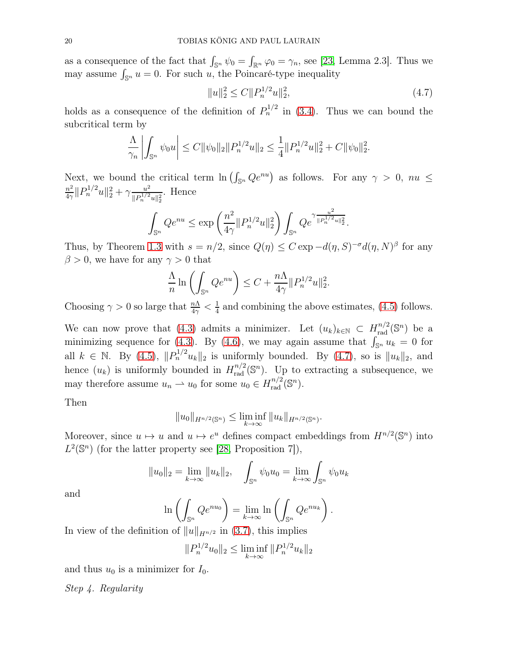as a consequence of the fact that  $\int_{\mathbb{S}^n} \psi_0 = \int_{\mathbb{R}^n} \varphi_0 = \gamma_n$ , see [\[23,](#page-35-8) Lemma 2.3]. Thus we may assume  $\int_{\mathbb{S}^n} u = 0$ . For such u, the Poincaré-type inequality

<span id="page-19-0"></span>
$$
||u||_2^2 \le C||P_n^{1/2}u||_2^2,\tag{4.7}
$$

holds as a consequence of the definition of  $P_n^{1/2}$  in [\(3.4\)](#page-16-4). Thus we can bound the subcritical term by

$$
\frac{\Lambda}{\gamma_n}\left|\int_{\mathbb{S}^n}\psi_0u\right|\leq C\|\psi_0\|_2\|P_n^{1/2}u\|_2\leq \frac{1}{4}\|P_n^{1/2}u\|_2^2+C\|\psi_0\|_2^2.
$$

Next, we bound the critical term  $\ln \left( \int_{\mathbb{S}^n} Qe^{nu} \right)$  as follows. For any  $\gamma > 0$ ,  $nu \leq$  $n^2$  $\frac{n^2}{4\gamma}$ || $P_n^{1/2}$  $u$ || $\frac{2}{2} + \gamma \frac{u^2}{||P_n^{1/2}||}$  $\frac{u^2}{\|P_n^{1/2}u\|_2^2}$ . Hence

$$
\int_{\mathbb{S}^n} Qe^{nu} \le \exp\left(\frac{n^2}{4\gamma} \|P_n^{1/2}u\|_2^2\right) \int_{\mathbb{S}^n} Qe^{\gamma \frac{u^2}{\|P_n^{1/2}u\|_2^2}}.
$$

Thus, by Theorem [1.3](#page-6-0) with  $s = n/2$ , since  $Q(\eta) \leq C \exp(-d(\eta, S)^{-\sigma} d(\eta, N)^{\beta}$  for any  $\beta > 0$ , we have for any  $\gamma > 0$  that

$$
\frac{\Lambda}{n} \ln \left( \int_{\mathbb{S}^n} Q e^{nu} \right) \le C + \frac{n\Lambda}{4\gamma} ||P_n^{1/2} u||_2^2.
$$

Choosing  $\gamma > 0$  so large that  $\frac{n\Lambda}{4\gamma} < \frac{1}{4}$  $\frac{1}{4}$  and combining the above estimates, [\(4.5\)](#page-18-3) follows.

We can now prove that [\(4.3\)](#page-18-1) admits a minimizer. Let  $(u_k)_{k \in \mathbb{N}} \subset H_{\text{rad}}^{n/2}(\mathbb{S}^n)$  be a minimizing sequence for [\(4.3\)](#page-18-1). By [\(4.6\)](#page-18-4), we may again assume that  $\int_{\mathbb{S}^n} u_k = 0$  for all  $k \in \mathbb{N}$ . By [\(4.5\)](#page-18-3),  $||P_n^{1/2}u_k||_2$  is uniformly bounded. By [\(4.7\)](#page-19-0), so is  $||u_k||_2$ , and hence  $(u_k)$  is uniformly bounded in  $H_{rad}^{n/2}(\mathbb{S}^n)$ . Up to extracting a subsequence, we may therefore assume  $u_n \rightharpoonup u_0$  for some  $u_0 \in H_{\text{rad}}^{n/2}(\mathbb{S}^n)$ .

Then

$$
||u_0||_{H^{n/2}(\mathbb{S}^n)} \le \liminf_{k \to \infty} ||u_k||_{H^{n/2}(\mathbb{S}^n)}.
$$

Moreover, since  $u \mapsto u$  and  $u \mapsto e^u$  defines compact embeddings from  $H^{n/2}(\mathbb{S}^n)$  into  $L^2(\mathbb{S}^n)$  (for the latter property see [\[28,](#page-36-5) Proposition 7]),

$$
||u_0||_2 = \lim_{k \to \infty} ||u_k||_2
$$
,  $\int_{\mathbb{S}^n} \psi_0 u_0 = \lim_{k \to \infty} \int_{\mathbb{S}^n} \psi_0 u_k$ 

and

$$
\ln\left(\int_{\mathbb{S}^n} Qe^{nu_0}\right) = \lim_{k \to \infty} \ln\left(\int_{\mathbb{S}^n} Qe^{nu_k}\right).
$$

In view of the definition of  $||u||_{H^{n/2}}$  in [\(3.7\)](#page-17-1), this implies

$$
||P_n^{1/2}u_0||_2 \le \liminf_{k \to \infty} ||P_n^{1/2}u_k||_2
$$

and thus  $u_0$  is a minimizer for  $I_0$ .

Step 4. Regularity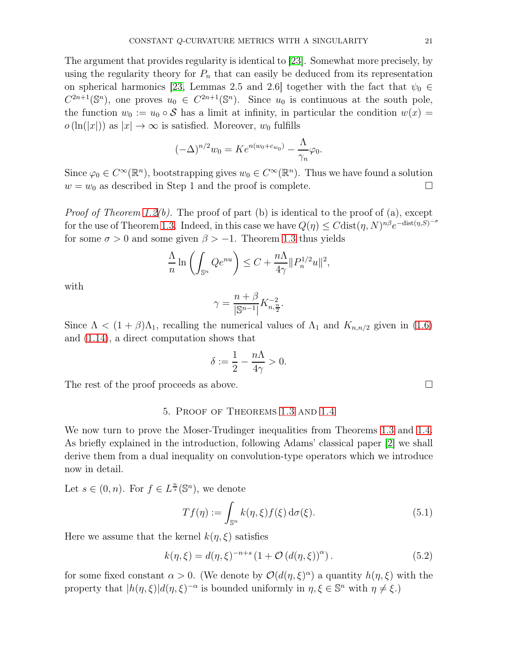The argument that provides regularity is identical to [\[23\]](#page-35-8). Somewhat more precisely, by using the regularity theory for  $P_n$  that can easily be deduced from its representation on spherical harmonics [\[23,](#page-35-8) Lemmas 2.5 and 2.6] together with the fact that  $\psi_0 \in$  $C^{2n+1}(\mathbb{S}^n)$ , one proves  $u_0 \in C^{2n+1}(\mathbb{S}^n)$ . Since  $u_0$  is continuous at the south pole, the function  $w_0 := u_0 \circ \mathcal{S}$  has a limit at infinity, in particular the condition  $w(x) =$  $o(\ln(|x|))$  as  $|x| \to \infty$  is satisfied. Moreover,  $w_0$  fulfills

$$
(-\Delta)^{n/2}w_0 = Ke^{n(w_0 + c_{w_0})} - \frac{\Lambda}{\gamma_n}\varphi_0.
$$

Since  $\varphi_0 \in C^{\infty}(\mathbb{R}^n)$ , bootstrapping gives  $w_0 \in C^{\infty}(\mathbb{R}^n)$ . Thus we have found a solution  $w = w_0$  as described in Step 1 and the proof is complete.

*Proof of Theorem [1.2\(](#page-4-1)b).* The proof of part (b) is identical to the proof of (a), except for the use of Theorem [1.3.](#page-6-0) Indeed, in this case we have  $Q(\eta) \leq C \text{dist}(\eta, N)^{n\beta} e^{-\text{dist}(\eta, S)^{-\sigma}}$ for some  $\sigma > 0$  and some given  $\beta > -1$ . Theorem [1.3](#page-6-0) thus yields

$$
\frac{\Lambda}{n} \ln \left( \int_{\mathbb{S}^n} Q e^{nu} \right) \le C + \frac{n\Lambda}{4\gamma} ||P_n^{1/2} u||^2,
$$

with

$$
\gamma = \frac{n+\beta}{|\mathbb{S}^{n-1}|} K_{n,\frac{n}{2}}^{-2}.
$$

Since  $\Lambda < (1 + \beta)\Lambda_1$ , recalling the numerical values of  $\Lambda_1$  and  $K_{n,n/2}$  given in [\(1.6\)](#page-2-3) and [\(1.14\)](#page-5-1), a direct computation shows that

$$
\delta:=\frac{1}{2}-\frac{n\Lambda}{4\gamma}>0.
$$

The rest of the proof proceeds as above.  $\square$ 

## 5. Proof of Theorems [1.3](#page-6-0) and [1.4](#page-6-1)

We now turn to prove the Moser-Trudinger inequalities from Theorems [1.3](#page-6-0) and [1.4.](#page-6-1) As briefly explained in the introduction, following Adams' classical paper [\[2\]](#page-34-0) we shall derive them from a dual inequality on convolution-type operators which we introduce now in detail.

Let  $s \in (0, n)$ . For  $f \in L^{\frac{n}{s}}(\mathbb{S}^n)$ , we denote

<span id="page-20-0"></span>
$$
Tf(\eta) := \int_{\mathbb{S}^n} k(\eta, \xi) f(\xi) d\sigma(\xi).
$$
 (5.1)

Here we assume that the kernel  $k(\eta, \xi)$  satisfies

<span id="page-20-1"></span>
$$
k(\eta,\xi) = d(\eta,\xi)^{-n+s} \left(1 + \mathcal{O}\left(d(\eta,\xi)\right)^{\alpha}\right). \tag{5.2}
$$

for some fixed constant  $\alpha > 0$ . (We denote by  $\mathcal{O}(d(\eta,\xi)^{\alpha})$  a quantity  $h(\eta,\xi)$  with the property that  $|h(\eta, \xi)|d(\eta, \xi)^{-\alpha}$  is bounded uniformly in  $\eta, \xi \in \mathbb{S}^n$  with  $\eta \neq \xi$ .)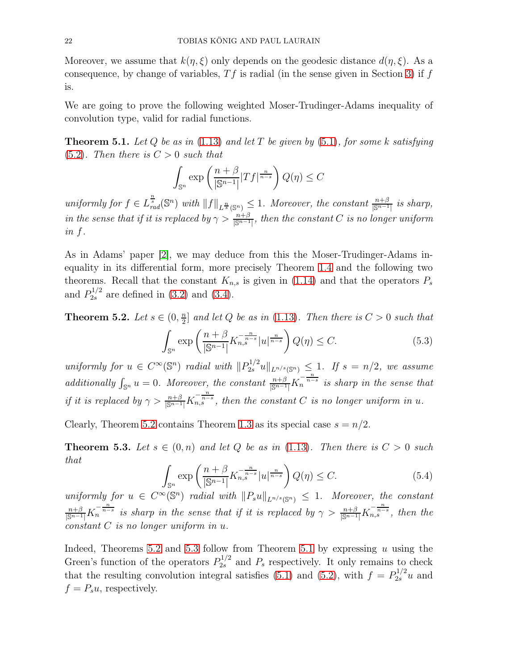Moreover, we assume that  $k(\eta, \xi)$  only depends on the geodesic distance  $d(\eta, \xi)$ . As a consequence, by change of variables,  $T f$  is radial (in the sense given in Section [3\)](#page-16-0) if f is.

We are going to prove the following weighted Moser-Trudinger-Adams inequality of convolution type, valid for radial functions.

<span id="page-21-2"></span>**Theorem 5.1.** Let Q be as in [\(1.13\)](#page-5-0) and let T be given by [\(5.1\)](#page-20-0), for some k satisfying  $(5.2)$ . Then there is  $C > 0$  such that

$$
\int_{\mathbb{S}^n} \exp\left(\frac{n+\beta}{|\mathbb{S}^{n-1}|} |Tf|^{\frac{n}{n-s}}\right) Q(\eta) \le C
$$

uniformly for  $f \in L^{\frac{n}{s}}_{rad}(\mathbb{S}^n)$  with  $||f||_{L^{\frac{n}{s}}(\mathbb{S}^n)} \leq 1$ . Moreover, the constant  $\frac{n+\beta}{|\mathbb{S}^{n-1}|}$  is sharp, in the sense that if it is replaced by  $\gamma > \frac{n+\beta}{|\mathbb{S}^{n-1}|}$ , then the constant C is no longer uniform in f.

As in Adams' paper [\[2\]](#page-34-0), we may deduce from this the Moser-Trudinger-Adams inequality in its differential form, more precisely Theorem [1.4](#page-6-1) and the following two theorems. Recall that the constant  $K_{n,s}$  is given in [\(1.14\)](#page-5-1) and that the operators  $P_s$ and  $P_{2s}^{1/2}$  are defined in [\(3.2\)](#page-16-1) and [\(3.4\)](#page-16-4).

<span id="page-21-0"></span>Theorem 5.2. Let  $s \in (0, \frac{n}{2})$  $\frac{n}{2}$  and let Q be as in [\(1.13\)](#page-5-0). Then there is  $C > 0$  such that

$$
\int_{\mathbb{S}^n} \exp\left(\frac{n+\beta}{|\mathbb{S}^{n-1}|} K_{n,s}^{-\frac{n}{n-s}} |u|^{\frac{n}{n-s}}\right) Q(\eta) \le C. \tag{5.3}
$$

uniformly for  $u \in C^{\infty}(\mathbb{S}^n)$  radial with  $||P_{2s}^{1/2}u||_{L^{n/s}(\mathbb{S}^n)} \leq 1$ . If  $s = n/2$ , we assume additionally  $\int_{\mathbb{S}^n} u = 0$ . Moreover, the constant  $\frac{n+\beta}{|\mathbb{S}^{n-1}|} K_n^{-\frac{n}{n-s}}$  is sharp in the sense that if it is replaced by  $\gamma > \frac{n+\beta}{|\mathbb{S}^{n-1}|} K_{n,s}^{-\frac{n}{n-s}}$ , then the constant C is no longer uniform in u.

Clearly, Theorem [5.2](#page-21-0) contains Theorem [1.3](#page-6-0) as its special case  $s = n/2$ .

<span id="page-21-1"></span>**Theorem 5.3.** Let  $s \in (0, n)$  and let Q be as in [\(1.13\)](#page-5-0). Then there is  $C > 0$  such that

$$
\int_{\mathbb{S}^n} \exp\left(\frac{n+\beta}{|\mathbb{S}^{n-1}|} K_{n,s}^{-\frac{n}{n-s}} |u|^{\frac{n}{n-s}}\right) Q(\eta) \le C. \tag{5.4}
$$

uniformly for  $u \in C^{\infty}(\mathbb{S}^n)$  radial with  $||P_s u||_{L^{n/s}(\mathbb{S}^n)} \leq 1$ . Moreover, the constant  $\frac{n+\beta}{|\mathbb{S}^{n-1}|}K_n^{-\frac{n}{n-s}}$  is sharp in the sense that if it is replaced by  $\gamma > \frac{n+\beta}{|\mathbb{S}^{n-1}|}K_{n,s}^{-\frac{n}{n-s}}$ , then the constant C is no longer uniform in u.

Indeed, Theorems [5.2](#page-21-0) and [5.3](#page-21-1) follow from Theorem [5.1](#page-21-2) by expressing  $u$  using the Green's function of the operators  $P_{2s}^{1/2}$  and  $P_s$  respectively. It only remains to check that the resulting convolution integral satisfies [\(5.1\)](#page-20-0) and [\(5.2\)](#page-20-1), with  $f = P_{2s}^{1/2} u$  and  $f = P_s u$ , respectively.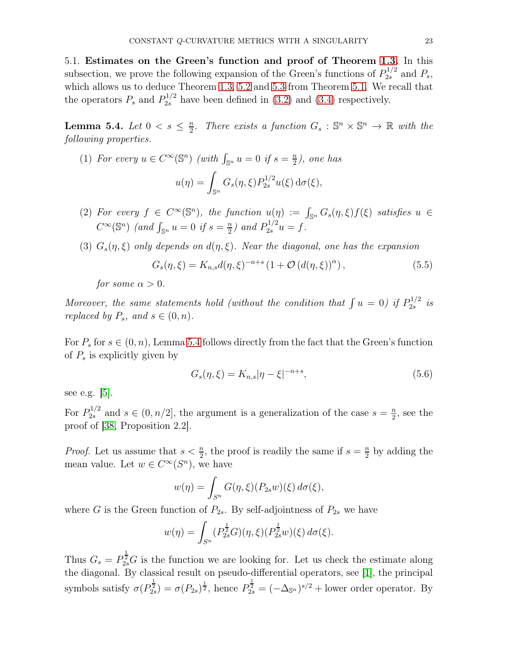5.1. Estimates on the Green's function and proof of Theorem [1.3.](#page-6-0) In this subsection, we prove the following expansion of the Green's functions of  $P_{2s}^{1/2}$  and  $P_s$ , which allows us to deduce Theorem [1.3,](#page-6-0) [5.2](#page-21-0) and [5.3](#page-21-1) from Theorem [5.1.](#page-21-2) We recall that the operators  $P_s$  and  $P_{2s}^{1/2}$  have been defined in [\(3.2\)](#page-16-1) and [\(3.4\)](#page-16-4) respectively.

<span id="page-22-0"></span>Lemma 5.4. Let  $0 < s \leq \frac{n}{2}$  $\frac{n}{2}$ . There exists a function  $G_s : \mathbb{S}^n \times \mathbb{S}^n \to \mathbb{R}$  with the following properties.

(1) For every 
$$
u \in C^{\infty}(\mathbb{S}^n)
$$
 (with  $\int_{\mathbb{S}^n} u = 0$  if  $s = \frac{n}{2}$ ), one has  

$$
u(\eta) = \int_{\mathbb{S}^n} G_s(\eta, \xi) P_{2s}^{1/2} u(\xi) d\sigma(\xi),
$$

- (2) For every  $f \in C^{\infty}(\mathbb{S}^n)$ , the function  $u(\eta) := \int_{\mathbb{S}^n} G_s(\eta, \xi) f(\xi)$  satisfies  $u \in$  $C^{\infty}(\mathbb{S}^n)$  (and  $\int_{\mathbb{S}^n} u = 0$  if  $s = \frac{n}{2}$  $\frac{n}{2}$ ) and  $P_{2s}^{1/2}u = f$ .
- (3)  $G_s(\eta, \xi)$  only depends on  $d(\eta, \xi)$ . Near the diagonal, one has the expansion

$$
G_s(\eta,\xi) = K_{n,s}d(\eta,\xi)^{-n+s} \left(1 + \mathcal{O}\left(d(\eta,\xi)\right)^{\alpha}\right),\tag{5.5}
$$

for some  $\alpha > 0$ .

Moreover, the same statements hold (without the condition that  $\int u = 0$ ) if  $P_{2s}^{1/2}$  $\frac{1}{2s}$  is replaced by  $P_s$ , and  $s \in (0, n)$ .

For  $P_s$  for  $s \in (0, n)$ , Lemma [5.4](#page-22-0) follows directly from the fact that the Green's function of  $P_s$  is explicitly given by

<span id="page-22-1"></span>
$$
G_s(\eta, \xi) = K_{n,s} |\eta - \xi|^{-n+s}, \tag{5.6}
$$

see e.g. [\[5\]](#page-35-19).

For  $P_{2s}^{1/2}$  $2s^{1/2}$  and  $s \in (0, n/2]$ , the argument is a generalization of the case  $s = \frac{n}{2}$  $\frac{n}{2}$ , see the proof of [\[38,](#page-36-19) Proposition 2.2].

*Proof.* Let us assume that  $s < \frac{n}{2}$ , the proof is readily the same if  $s = \frac{n}{2}$  $\frac{n}{2}$  by adding the mean value. Let  $w \in C^{\infty}(S^n)$ , we have

$$
w(\eta) = \int_{S^n} G(\eta, \xi)(P_{2s}w)(\xi) d\sigma(\xi),
$$

where G is the Green function of  $P_{2s}$ . By self-adjointness of  $P_{2s}$  we have

$$
w(\eta) = \int_{S^n} (P_{2s}^{\frac{1}{2}} G)(\eta, \xi) (P_{2s}^{\frac{1}{2}} w)(\xi) d\sigma(\xi).
$$

Thus  $G_s = P_{2s}^{\frac{1}{2}} G$  is the function we are looking for. Let us check the estimate along the diagonal. By classical result on pseudo-differential operators, see [\[1\]](#page-34-1), the principal symbols satisfy  $\sigma(P_{2s}^{\frac{1}{2}}) = \sigma(P_{2s})^{\frac{1}{2}}$ , hence  $P_{2s}^{\frac{1}{2}} = (-\Delta_{\mathbb{S}^n})^{s/2}$  + lower order operator. By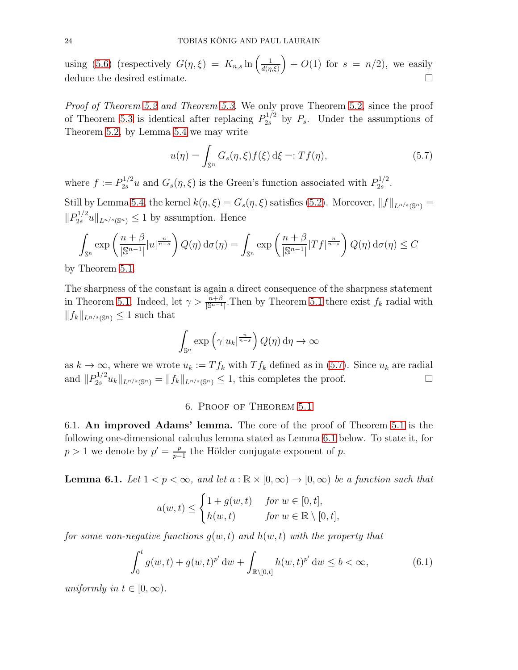using [\(5.6\)](#page-22-1) (respectively  $G(\eta, \xi) = K_{n,s} \ln \left( \frac{1}{d(n)} \right)$  $\frac{1}{d(n,\xi)}$  +  $O(1)$  for  $s = n/2$ , we easily deduce the desired estimate.

Proof of Theorem [5.2](#page-21-0) and Theorem [5.3.](#page-21-1) We only prove Theorem [5.2,](#page-21-0) since the proof of Theorem [5.3](#page-21-1) is identical after replacing  $P_{2s}^{1/2}$  by  $P_s$ . Under the assumptions of Theorem [5.2,](#page-21-0) by Lemma [5.4](#page-22-0) we may write

<span id="page-23-1"></span>
$$
u(\eta) = \int_{\mathbb{S}^n} G_s(\eta, \xi) f(\xi) d\xi =: Tf(\eta), \tag{5.7}
$$

where  $f := P_{2s}^{1/2} u$  and  $G_s(\eta, \xi)$  is the Green's function associated with  $P_{2s}^{1/2}$  $\frac{1}{2s}$ .

Still by Lemma [5.4,](#page-22-0) the kernel  $k(\eta, \xi) = G_s(\eta, \xi)$  satisfies [\(5.2\)](#page-20-1). Moreover,  $||f||_{L^{n/s}(\mathbb{S}^n)} =$  $||P_{2s}^{1/2}u||_{L^{n/s}(\mathbb{S}^n)} \leq 1$  by assumption. Hence

$$
\int_{\mathbb{S}^n} \exp\left(\frac{n+\beta}{|\mathbb{S}^{n-1}|} |u|^{\frac{n}{n-s}}\right) Q(\eta) d\sigma(\eta) = \int_{\mathbb{S}^n} \exp\left(\frac{n+\beta}{|\mathbb{S}^{n-1}|} |Tf|^{\frac{n}{n-s}}\right) Q(\eta) d\sigma(\eta) \le C
$$

by Theorem [5.1.](#page-21-2)

The sharpness of the constant is again a direct consequence of the sharpness statement in Theorem [5.1.](#page-21-2) Indeed, let  $\gamma > \frac{n+\beta}{|\mathbb{S}^{n-1}|}$ . Then by Theorem [5.1](#page-21-2) there exist  $f_k$  radial with  $||f_k||_{L^{n/s}(\mathbb{S}^n)} \leq 1$  such that

$$
\int_{\mathbb{S}^n} \exp\left(\gamma |u_k|^{\frac{n}{n-s}}\right) Q(\eta) d\eta \to \infty
$$

as  $k \to \infty$ , where we wrote  $u_k := Tf_k$  with  $T f_k$  defined as in [\(5.7\)](#page-23-1). Since  $u_k$  are radial and  $||P_{2s}^{1/2}u_k||_{L^{n/s}(\mathbb{S}^n)} = ||f_k||_{L^{n/s}(\mathbb{S}^n)} \le 1$ , this completes the proof.

# 6. Proof of Theorem [5.1](#page-21-2)

6.1. An improved Adams' lemma. The core of the proof of Theorem [5.1](#page-21-2) is the following one-dimensional calculus lemma stated as Lemma [6.1](#page-23-0) below. To state it, for  $p > 1$  we denote by  $p' = \frac{p}{p-1}$  $\frac{p}{p-1}$  the Hölder conjugate exponent of p.

<span id="page-23-0"></span>**Lemma 6.1.** Let  $1 < p < \infty$ , and let  $a : \mathbb{R} \times [0, \infty) \to [0, \infty)$  be a function such that

$$
a(w,t) \leq \begin{cases} 1 + g(w,t) & \text{for } w \in [0,t], \\ h(w,t) & \text{for } w \in \mathbb{R} \setminus [0,t], \end{cases}
$$

for some non-negative functions  $q(w, t)$  and  $h(w, t)$  with the property that

<span id="page-23-2"></span>
$$
\int_0^t g(w,t) + g(w,t)^{p'} dw + \int_{\mathbb{R}\setminus[0,t]} h(w,t)^{p'} dw \le b < \infty,
$$
\n(6.1)

uniformly in  $t \in [0, \infty)$ .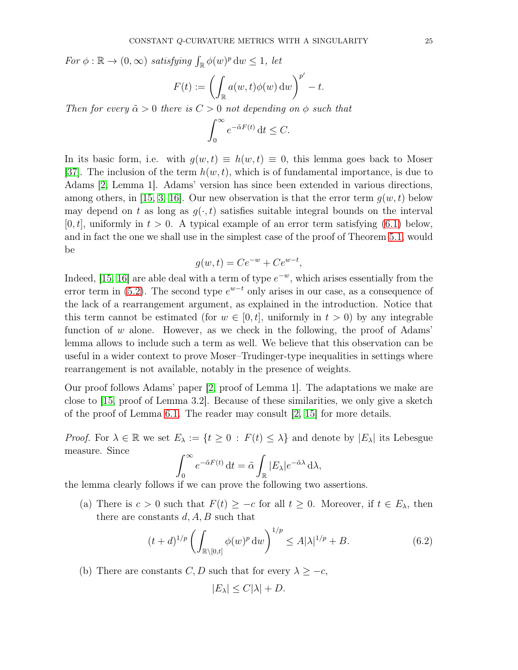For  $\phi : \mathbb{R} \to (0, \infty)$  satisfying  $\int_{\mathbb{R}} \phi(w)^p dw \leq 1$ , let

$$
F(t) := \left(\int_{\mathbb{R}} a(w, t)\phi(w) \,dw\right)^{p'} - t.
$$

Then for every  $\tilde{\alpha} > 0$  there is  $C > 0$  not depending on  $\phi$  such that

$$
\int_0^\infty e^{-\tilde{\alpha}F(t)} \, \mathrm{d}t \le C.
$$

In its basic form, i.e. with  $g(w, t) \equiv h(w, t) \equiv 0$ , this lemma goes back to Moser [\[37\]](#page-36-20). The inclusion of the term  $h(w, t)$ , which is of fundamental importance, is due to Adams [\[2,](#page-34-0) Lemma 1]. Adams' version has since been extended in various directions, among others, in [\[15,](#page-35-20) [3,](#page-35-21) [16\]](#page-35-22). Our new observation is that the error term  $q(w, t)$  below may depend on t as long as  $g(\cdot, t)$  satisfies suitable integral bounds on the interval  $[0, t]$ , uniformly in  $t > 0$ . A typical example of an error term satisfying  $(6.1)$  below, and in fact the one we shall use in the simplest case of the proof of Theorem [5.1,](#page-21-2) would be

$$
g(w,t) = Ce^{-w} + Ce^{w-t},
$$

Indeed, [\[15,](#page-35-20) [16\]](#page-35-22) are able deal with a term of type  $e^{-w}$ , which arises essentially from the error term in [\(5.2\)](#page-20-1). The second type  $e^{w-t}$  only arises in our case, as a consequence of the lack of a rearrangement argument, as explained in the introduction. Notice that this term cannot be estimated (for  $w \in [0, t]$ , uniformly in  $t > 0$ ) by any integrable function of  $w$  alone. However, as we check in the following, the proof of Adams' lemma allows to include such a term as well. We believe that this observation can be useful in a wider context to prove Moser–Trudinger-type inequalities in settings where rearrangement is not available, notably in the presence of weights.

Our proof follows Adams' paper [\[2,](#page-34-0) proof of Lemma 1]. The adaptations we make are close to [\[15,](#page-35-20) proof of Lemma 3.2]. Because of these similarities, we only give a sketch of the proof of Lemma [6.1.](#page-23-0) The reader may consult [\[2,](#page-34-0) [15\]](#page-35-20) for more details.

*Proof.* For  $\lambda \in \mathbb{R}$  we set  $E_{\lambda} := \{t \geq 0 : F(t) \leq \lambda\}$  and denote by  $|E_{\lambda}|$  its Lebesgue measure. Since

$$
\int_0^\infty e^{-\tilde{\alpha}F(t)} dt = \tilde{\alpha} \int_{\mathbb{R}} |E_\lambda| e^{-\tilde{\alpha}\lambda} d\lambda,
$$

the lemma clearly follows if we can prove the following two assertions.

(a) There is  $c > 0$  such that  $F(t) \geq -c$  for all  $t \geq 0$ . Moreover, if  $t \in E_{\lambda}$ , then there are constants  $d, A, B$  such that

<span id="page-24-0"></span>
$$
(t+d)^{1/p} \left( \int_{\mathbb{R}\setminus[0,t]} \phi(w)^p dw \right)^{1/p} \le A|\lambda|^{1/p} + B. \tag{6.2}
$$

(b) There are constants  $C, D$  such that for every  $\lambda \geq -c$ ,

$$
|E_{\lambda}| \leq C|\lambda| + D.
$$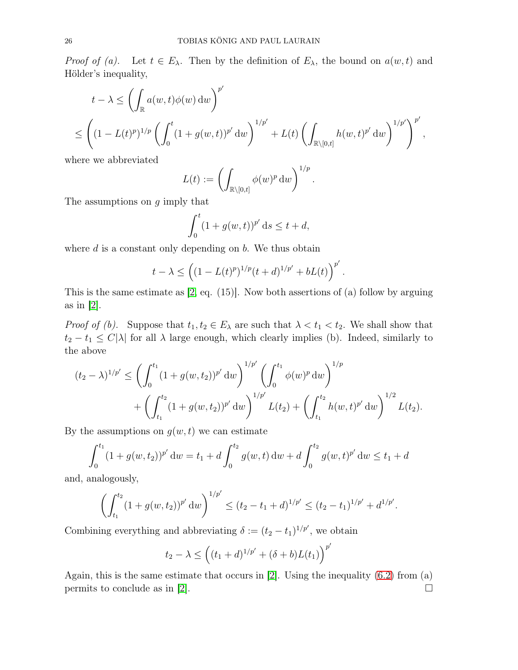*Proof of (a).* Let  $t \in E_\lambda$ . Then by the definition of  $E_\lambda$ , the bound on  $a(w, t)$  and Hölder's inequality,

$$
t - \lambda \le \left( \int_{\mathbb{R}} a(w, t) \phi(w) dw \right)^{p'} \le \left( (1 - L(t)^p)^{1/p} \left( \int_0^t (1 + g(w, t))^{p'} dw \right)^{1/p'} + L(t) \left( \int_{\mathbb{R} \setminus [0, t]} h(w, t)^{p'} dw \right)^{1/p'} \right)^{p'},
$$

where we abbreviated

$$
L(t) := \left( \int_{\mathbb{R} \setminus [0,t]} \phi(w)^p dw \right)^{1/p}.
$$

The assumptions on g imply that

$$
\int_0^t (1 + g(w, t))^{p'} ds \le t + d,
$$

where  $d$  is a constant only depending on  $b$ . We thus obtain

$$
t - \lambda \le \left( (1 - L(t)^p)^{1/p} (t + d)^{1/p'} + bL(t) \right)^{p'}.
$$

This is the same estimate as [\[2,](#page-34-0) eq. (15)]. Now both assertions of (a) follow by arguing as in [\[2\]](#page-34-0).

*Proof of (b).* Suppose that  $t_1, t_2 \in E_\lambda$  are such that  $\lambda < t_1 < t_2$ . We shall show that  $t_2 - t_1 \leq C |\lambda|$  for all  $\lambda$  large enough, which clearly implies (b). Indeed, similarly to the above

$$
(t_2 - \lambda)^{1/p'} \le \left( \int_0^{t_1} (1 + g(w, t_2))^{p'} dw \right)^{1/p'} \left( \int_0^{t_1} \phi(w)^p dw \right)^{1/p} + \left( \int_{t_1}^{t_2} (1 + g(w, t_2))^{p'} dw \right)^{1/p'} L(t_2) + \left( \int_{t_1}^{t_2} h(w, t)^{p'} dw \right)^{1/2} L(t_2).
$$

By the assumptions on  $g(w, t)$  we can estimate

$$
\int_0^{t_1} (1 + g(w, t_2))^{p'} dw = t_1 + d \int_0^{t_2} g(w, t) dw + d \int_0^{t_2} g(w, t)^{p'} dw \le t_1 + d
$$

and, analogously,

$$
\left(\int_{t_1}^{t_2} (1+g(w,t_2))^{p'} dw\right)^{1/p'} \le (t_2-t_1+d)^{1/p'} \le (t_2-t_1)^{1/p'}+d^{1/p'}.
$$

Combining everything and abbreviating  $\delta := (t_2 - t_1)^{1/p'}$ , we obtain

$$
t_2 - \lambda \le ((t_1 + d)^{1/p'} + (\delta + b)L(t_1))^{p'}
$$

Again, this is the same estimate that occurs in [\[2\]](#page-34-0). Using the inequality [\(6.2\)](#page-24-0) from (a) permits to conclude as in [\[2\]](#page-34-0).  $\Box$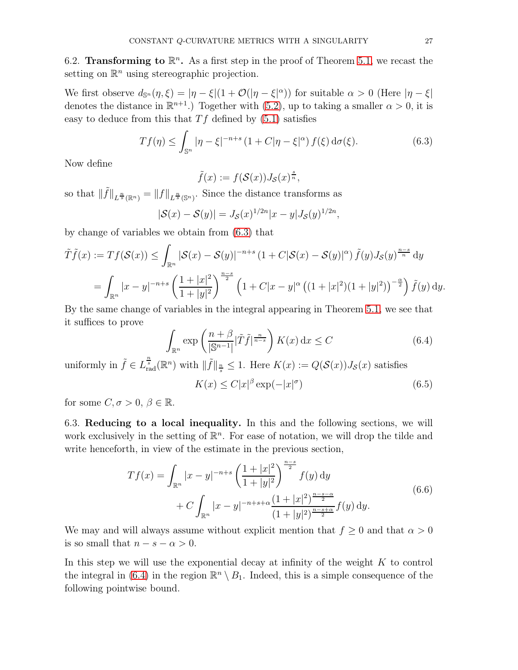<span id="page-26-4"></span>6.2. Transforming to  $\mathbb{R}^n$ . As a first step in the proof of Theorem [5.1,](#page-21-2) we recast the setting on  $\mathbb{R}^n$  using stereographic projection.

We first observe  $d_{\mathbb{S}^n}(\eta,\xi) = |\eta - \xi|(1 + \mathcal{O}(|\eta - \xi|^{\alpha}))$  for suitable  $\alpha > 0$  (Here  $|\eta - \xi|$ denotes the distance in  $\mathbb{R}^{n+1}$ .) Together with [\(5.2\)](#page-20-1), up to taking a smaller  $\alpha > 0$ , it is easy to deduce from this that  $Tf$  defined by  $(5.1)$  satisfies

<span id="page-26-0"></span>
$$
Tf(\eta) \le \int_{\mathbb{S}^n} |\eta - \xi|^{-n+s} \left(1 + C|\eta - \xi|^{\alpha}\right) f(\xi) \, \mathrm{d}\sigma(\xi). \tag{6.3}
$$

Now define

 $\tilde{f}(x) := f(\mathcal{S}(x))J_{\mathcal{S}}(x)^{\frac{s}{n}},$ 

so that  $\|\tilde{f}\|_{L^{\frac{n}{s}}(\mathbb{R}^n)} = \|f\|_{L^{\frac{n}{s}}(\mathbb{S}^n)}$ . Since the distance transforms as

$$
|\mathcal{S}(x) - \mathcal{S}(y)| = J_{\mathcal{S}}(x)^{1/2n} |x - y| J_{\mathcal{S}}(y)^{1/2n},
$$

by change of variables we obtain from [\(6.3\)](#page-26-0) that

$$
\tilde{T}\tilde{f}(x) := Tf(\mathcal{S}(x)) \le \int_{\mathbb{R}^n} |\mathcal{S}(x) - \mathcal{S}(y)|^{-n+s} (1 + C|\mathcal{S}(x) - \mathcal{S}(y)|^{\alpha}) \tilde{f}(y) J_{\mathcal{S}}(y)^{\frac{n-s}{n}} dy \n= \int_{\mathbb{R}^n} |x - y|^{-n+s} \left(\frac{1 + |x|^2}{1 + |y|^2}\right)^{\frac{n-s}{2}} \left(1 + C|x - y|^{\alpha} \left((1 + |x|^2)(1 + |y|^2)\right)^{-\frac{\alpha}{2}}\right) \tilde{f}(y) dy.
$$

By the same change of variables in the integral appearing in Theorem [5.1,](#page-21-2) we see that it suffices to prove

<span id="page-26-1"></span>
$$
\int_{\mathbb{R}^n} \exp\left(\frac{n+\beta}{|\mathbb{S}^{n-1}|}|\tilde{T}\tilde{f}|^{\frac{n}{n-s}}\right) K(x) \, \mathrm{d}x \le C \tag{6.4}
$$

uniformly in  $\tilde{f} \in L^{\frac{n}{s}}_{rad}(\mathbb{R}^n)$  with  $\|\tilde{f}\|_{\frac{n}{s}} \leq 1$ . Here  $K(x) := Q(\mathcal{S}(x))J_{\mathcal{S}}(x)$  satisfies

<span id="page-26-3"></span><span id="page-26-2"></span>
$$
K(x) \le C|x|^{\beta} \exp(-|x|^{\sigma}) \tag{6.5}
$$

<span id="page-26-5"></span>for some  $C, \sigma > 0, \beta \in \mathbb{R}$ .

6.3. Reducing to a local inequality. In this and the following sections, we will work exclusively in the setting of  $\mathbb{R}^n$ . For ease of notation, we will drop the tilde and write henceforth, in view of the estimate in the previous section,

$$
Tf(x) = \int_{\mathbb{R}^n} |x - y|^{-n+s} \left(\frac{1 + |x|^2}{1 + |y|^2}\right)^{\frac{n-s}{2}} f(y) \, dy
$$
  
+ 
$$
C \int_{\mathbb{R}^n} |x - y|^{-n+s+\alpha} \frac{(1 + |x|^2)^{\frac{n-s-\alpha}{2}}}{(1 + |y|^2)^{\frac{n-s+\alpha}{2}}} f(y) \, dy.
$$
 (6.6)

We may and will always assume without explicit mention that  $f \geq 0$  and that  $\alpha > 0$ is so small that  $n - s - \alpha > 0$ .

In this step we will use the exponential decay at infinity of the weight  $K$  to control the integral in [\(6.4\)](#page-26-1) in the region  $\mathbb{R}^n \setminus B_1$ . Indeed, this is a simple consequence of the following pointwise bound.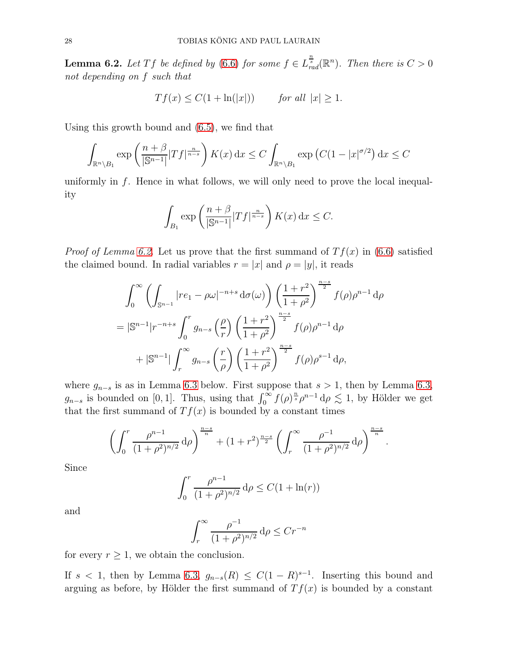<span id="page-27-0"></span>**Lemma 6.2.** Let Tf be defined by [\(6.6\)](#page-26-2) for some  $f \in L_{rad}^{\frac{n}{s}}(\mathbb{R}^n)$ . Then there is  $C > 0$ not depending on f such that

$$
Tf(x) \leq C(1 + \ln(|x|))
$$
 for all  $|x| \geq 1$ .

Using this growth bound and [\(6.5\)](#page-26-3), we find that

$$
\int_{\mathbb{R}^n \setminus B_1} \exp\left(\frac{n+\beta}{|\mathbb{S}^{n-1}|} |Tf|^{\frac{n}{n-s}}\right) K(x) \, \mathrm{d}x \le C \int_{\mathbb{R}^n \setminus B_1} \exp\left(C(1-|x|^{\sigma/2})\right) \, \mathrm{d}x \le C
$$

uniformly in  $f$ . Hence in what follows, we will only need to prove the local inequality

$$
\int_{B_1} \exp\left(\frac{n+\beta}{|\mathbb{S}^{n-1}|} |Tf|^{\frac{n}{n-s}}\right) K(x) \, \mathrm{d}x \le C.
$$

*Proof of Lemma [6.2.](#page-27-0)* Let us prove that the first summand of  $Tf(x)$  in [\(6.6\)](#page-26-2) satisfied the claimed bound. In radial variables  $r = |x|$  and  $\rho = |y|$ , it reads

$$
\int_0^{\infty} \left( \int_{\mathbb{S}^{n-1}} |re_1 - \rho \omega|^{-n+s} d\sigma(\omega) \right) \left( \frac{1+r^2}{1+\rho^2} \right)^{\frac{n-s}{2}} f(\rho) \rho^{n-1} d\rho
$$
  
=  $|\mathbb{S}^{n-1}|r^{-n+s} \int_0^r g_{n-s} \left( \frac{\rho}{r} \right) \left( \frac{1+r^2}{1+\rho^2} \right)^{\frac{n-s}{2}} f(\rho) \rho^{n-1} d\rho$   
+  $|\mathbb{S}^{n-1}| \int_r^{\infty} g_{n-s} \left( \frac{r}{\rho} \right) \left( \frac{1+r^2}{1+\rho^2} \right)^{\frac{n-s}{2}} f(\rho) \rho^{s-1} d\rho,$ 

where  $g_{n-s}$  is as in Lemma [6.3](#page-28-0) below. First suppose that  $s > 1$ , then by Lemma [6.3,](#page-28-0)  $g_{n-s}$  is bounded on [0, 1]. Thus, using that  $\int_0^\infty f(\rho)^{\frac{n}{s}} \rho^{n-1} d\rho \lesssim 1$ , by Hölder we get that the first summand of  $Tf(x)$  is bounded by a constant times

$$
\left(\int_0^r \frac{\rho^{n-1}}{(1+\rho^2)^{n/2}} d\rho\right)^{\frac{n-s}{n}} + (1+r^2)^{\frac{n-s}{2}} \left(\int_r^\infty \frac{\rho^{-1}}{(1+\rho^2)^{n/2}} d\rho\right)^{\frac{n-s}{n}}.
$$

Since

$$
\int_0^r \frac{\rho^{n-1}}{(1+\rho^2)^{n/2}} d\rho \le C(1+\ln(r))
$$

and

$$
\int_r^{\infty} \frac{\rho^{-1}}{(1+\rho^2)^{n/2}} d\rho \le Cr^{-n}
$$

for every  $r \geq 1$ , we obtain the conclusion.

If  $s < 1$ , then by Lemma [6.3,](#page-28-0)  $g_{n-s}(R) \leq C(1-R)^{s-1}$ . Inserting this bound and arguing as before, by Hölder the first summand of  $Tf(x)$  is bounded by a constant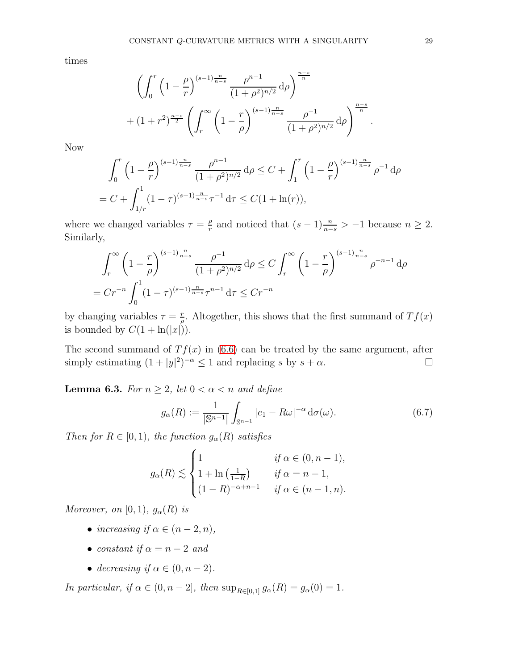times

$$
\left(\int_0^r \left(1 - \frac{\rho}{r}\right)^{(s-1)\frac{n}{n-s}} \frac{\rho^{n-1}}{(1+\rho^2)^{n/2}} d\rho\right)^{\frac{n-s}{n}} + (1+r^2)^{\frac{n-s}{2}} \left(\int_r^\infty \left(1 - \frac{r}{\rho}\right)^{(s-1)\frac{n}{n-s}} \frac{\rho^{-1}}{(1+\rho^2)^{n/2}} d\rho\right)^{\frac{n-s}{n}}.
$$

Now

$$
\int_0^r \left(1 - \frac{\rho}{r}\right)^{(s-1)\frac{n}{n-s}} \frac{\rho^{n-1}}{(1+\rho^2)^{n/2}} d\rho \le C + \int_1^r \left(1 - \frac{\rho}{r}\right)^{(s-1)\frac{n}{n-s}} \rho^{-1} d\rho
$$
  
=  $C + \int_{1/r}^1 (1-\tau)^{(s-1)\frac{n}{n-s}} \tau^{-1} d\tau \le C(1+\ln(r)),$ 

where we changed variables  $\tau = \frac{\rho}{r}$  $\frac{\rho}{r}$  and noticed that  $(s-1) \frac{n}{n-s} > -1$  because  $n \geq 2$ . Similarly,

$$
\int_{r}^{\infty} \left(1 - \frac{r}{\rho}\right)^{(s-1)\frac{n}{n-s}} \frac{\rho^{-1}}{(1+\rho^2)^{n/2}} d\rho \le C \int_{r}^{\infty} \left(1 - \frac{r}{\rho}\right)^{(s-1)\frac{n}{n-s}} \rho^{-n-1} d\rho
$$
  
=  $Cr^{-n} \int_{0}^{1} (1-\tau)^{(s-1)\frac{n}{n-s}} \tau^{n-1} d\tau \le Cr^{-n}$ 

by changing variables  $\tau = \frac{r}{a}$  $\frac{r}{\rho}$ . Altogether, this shows that the first summand of  $Tf(x)$ is bounded by  $C(1 + \ln(|x|)).$ 

The second summand of  $Tf(x)$  in [\(6.6\)](#page-26-2) can be treated by the same argument, after simply estimating  $(1+|y|^2)^{-\alpha} \le 1$  and replacing s by  $s+\alpha$ .

<span id="page-28-0"></span>**Lemma 6.3.** For  $n \geq 2$ , let  $0 < \alpha < n$  and define

$$
g_{\alpha}(R) := \frac{1}{|\mathbb{S}^{n-1}|} \int_{\mathbb{S}^{n-1}} |e_1 - R\omega|^{-\alpha} d\sigma(\omega).
$$
 (6.7)

Then for  $R \in [0, 1)$ , the function  $g_{\alpha}(R)$  satisfies

$$
g_{\alpha}(R) \lesssim \begin{cases} 1 & \text{if } \alpha \in (0, n-1), \\ 1 + \ln\left(\frac{1}{1-R}\right) & \text{if } \alpha = n-1, \\ (1-R)^{-\alpha+n-1} & \text{if } \alpha \in (n-1, n). \end{cases}
$$

Moreover, on [0, 1],  $g_{\alpha}(R)$  is

- increasing if  $\alpha \in (n-2, n)$ ,
- constant if  $\alpha = n 2$  and
- decreasing if  $\alpha \in (0, n-2)$ .

In particular, if  $\alpha \in (0, n-2]$ , then  $\sup_{R \in [0,1]} g_{\alpha}(R) = g_{\alpha}(0) = 1$ .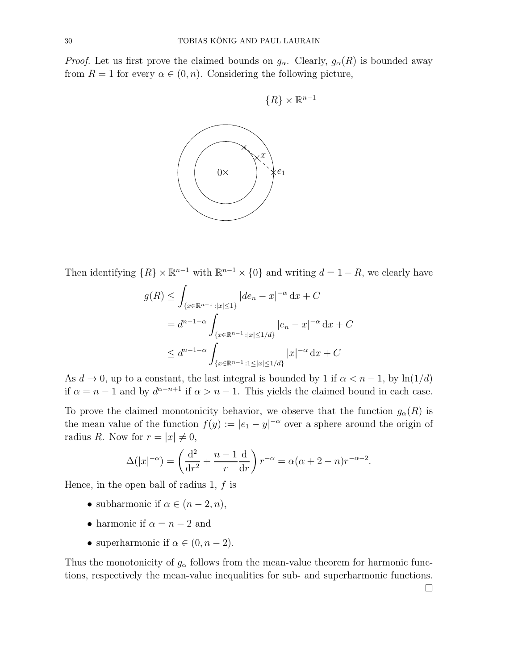*Proof.* Let us first prove the claimed bounds on  $g_\alpha$ . Clearly,  $g_\alpha(R)$  is bounded away from  $R = 1$  for every  $\alpha \in (0, n)$ . Considering the following picture,



Then identifying  $\{R\} \times \mathbb{R}^{n-1}$  with  $\mathbb{R}^{n-1} \times \{0\}$  and writing  $d = 1 - R$ , we clearly have

$$
g(R) \leq \int_{\{x \in \mathbb{R}^{n-1} : |x| \leq 1\}} |de_n - x|^{-\alpha} dx + C
$$
  
=  $d^{n-1-\alpha} \int_{\{x \in \mathbb{R}^{n-1} : |x| \leq 1/d\}} |e_n - x|^{-\alpha} dx + C$   
 $\leq d^{n-1-\alpha} \int_{\{x \in \mathbb{R}^{n-1} : 1 \leq |x| \leq 1/d\}} |x|^{-\alpha} dx + C$ 

As  $d \to 0$ , up to a constant, the last integral is bounded by 1 if  $\alpha < n - 1$ , by  $\ln(1/d)$ if  $\alpha = n - 1$  and by  $d^{\alpha - n+1}$  if  $\alpha > n - 1$ . This yields the claimed bound in each case.

To prove the claimed monotonicity behavior, we observe that the function  $g_{\alpha}(R)$  is the mean value of the function  $f(y) := |e_1 - y|^{-\alpha}$  over a sphere around the origin of radius R. Now for  $r = |x| \neq 0$ ,

$$
\Delta(|x|^{-\alpha}) = \left(\frac{d^2}{dr^2} + \frac{n-1}{r}\frac{d}{dr}\right)r^{-\alpha} = \alpha(\alpha+2-n)r^{-\alpha-2}.
$$

Hence, in the open ball of radius 1,  $f$  is

- subharmonic if  $\alpha \in (n-2, n)$ ,
- harmonic if  $\alpha = n 2$  and
- superharmonic if  $\alpha \in (0, n-2)$ .

Thus the monotonicity of  $g_{\alpha}$  follows from the mean-value theorem for harmonic functions, respectively the mean-value inequalities for sub- and superharmonic functions.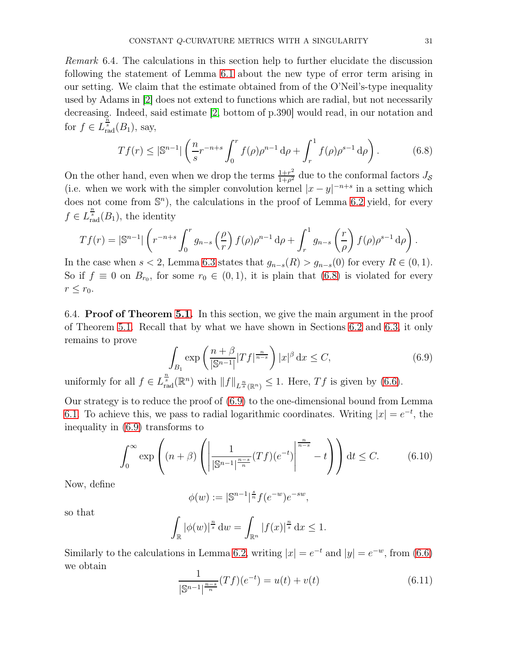<span id="page-30-0"></span>Remark 6.4. The calculations in this section help to further elucidate the discussion following the statement of Lemma [6.1](#page-23-0) about the new type of error term arising in our setting. We claim that the estimate obtained from of the O'Neil's-type inequality used by Adams in [\[2\]](#page-34-0) does not extend to functions which are radial, but not necessarily decreasing. Indeed, said estimate [\[2,](#page-34-0) bottom of p.390] would read, in our notation and for  $f \in L^{\frac{n}{s}}_{\text{rad}}(B_1)$ , say,

<span id="page-30-1"></span>
$$
Tf(r) \le |\mathbb{S}^{n-1}| \left(\frac{n}{s} r^{-n+s} \int_0^r f(\rho) \rho^{n-1} d\rho + \int_r^1 f(\rho) \rho^{s-1} d\rho\right).
$$
 (6.8)

On the other hand, even when we drop the terms  $\frac{1+r^2}{1+\rho^2}$  $\frac{1+r^2}{1+\rho^2}$  due to the conformal factors  $J_{\mathcal{S}}$ (i.e. when we work with the simpler convolution kernel  $|x-y|^{-n+s}$  in a setting which does not come from  $\mathbb{S}^n$ , the calculations in the proof of Lemma [6.2](#page-27-0) yield, for every  $f \in L^{\frac{n}{s}}_{\text{rad}}(B_1)$ , the identity

$$
Tf(r) = |\mathbb{S}^{n-1}| \left( r^{-n+s} \int_0^r g_{n-s} \left( \frac{\rho}{r} \right) f(\rho) \rho^{n-1} d\rho + \int_r^1 g_{n-s} \left( \frac{r}{\rho} \right) f(\rho) \rho^{s-1} d\rho \right).
$$

In the case when  $s < 2$ , Lemma [6.3](#page-28-0) states that  $g_{n-s}(R) > g_{n-s}(0)$  for every  $R \in (0,1)$ . So if  $f \equiv 0$  on  $B_{r_0}$ , for some  $r_0 \in (0,1)$ , it is plain that  $(6.8)$  is violated for every  $r \leq r_0$ .

<span id="page-30-4"></span>6.4. Proof of Theorem [5.1.](#page-21-2) In this section, we give the main argument in the proof of Theorem [5.1.](#page-21-2) Recall that by what we have shown in Sections [6.2](#page-26-4) and [6.3,](#page-26-5) it only remains to prove

<span id="page-30-2"></span>
$$
\int_{B_1} \exp\left(\frac{n+\beta}{|\mathbb{S}^{n-1}|} |Tf|^{\frac{n}{n-s}}\right) |x|^\beta \, \mathrm{d}x \le C,\tag{6.9}
$$

uniformly for all  $f \in L^{\frac{n}{s}}_{\text{rad}}(\mathbb{R}^n)$  with  $||f||_{L^{\frac{n}{s}}(\mathbb{R}^n)} \leq 1$ . Here,  $Tf$  is given by  $(6.6)$ .

Our strategy is to reduce the proof of [\(6.9\)](#page-30-2) to the one-dimensional bound from Lemma [6.1.](#page-23-0) To achieve this, we pass to radial logarithmic coordinates. Writing  $|x| = e^{-t}$ , the inequality in [\(6.9\)](#page-30-2) transforms to

<span id="page-30-3"></span>
$$
\int_0^\infty \exp\left( (n+\beta) \left( \left| \frac{1}{|\mathbb{S}^{n-1}|^{\frac{n-s}{n}}}(Tf)(e^{-t}) \right|^{\frac{n}{n-s}} - t \right) \right) dt \le C. \tag{6.10}
$$

Now, define

$$
\phi(w) := |\mathbb{S}^{n-1}|^{\frac{s}{n}} f(e^{-w})e^{-sw},
$$

so that

$$
\int_{\mathbb{R}} |\phi(w)|^{\frac{n}{s}} \, \mathrm{d}w = \int_{\mathbb{R}^n} |f(x)|^{\frac{n}{s}} \, \mathrm{d}x \le 1.
$$

Similarly to the calculations in Lemma [6.2,](#page-27-0) writing  $|x| = e^{-t}$  and  $|y| = e^{-w}$ , from [\(6.6\)](#page-26-2) we obtain

$$
\frac{1}{|\mathbb{S}^{n-1}|^{\frac{n-s}{n}}}(Tf)(e^{-t}) = u(t) + v(t)
$$
\n(6.11)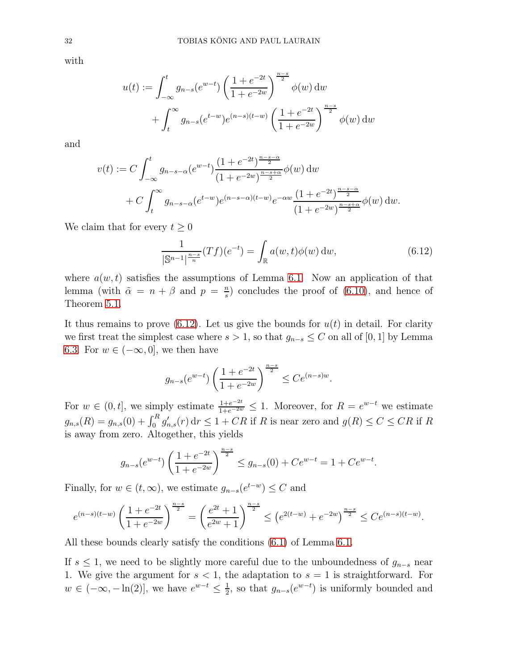with

$$
u(t) := \int_{-\infty}^{t} g_{n-s}(e^{w-t}) \left(\frac{1+e^{-2t}}{1+e^{-2w}}\right)^{\frac{n-s}{2}} \phi(w) dw
$$

$$
+ \int_{t}^{\infty} g_{n-s}(e^{t-w}) e^{(n-s)(t-w)} \left(\frac{1+e^{-2t}}{1+e^{-2w}}\right)^{\frac{n-s}{2}} \phi(w) dw
$$

and

$$
v(t) := C \int_{-\infty}^{t} g_{n-s-\alpha} (e^{w-t}) \frac{(1+e^{-2t})^{\frac{n-s-\alpha}{2}}}{(1+e^{-2w})^{\frac{n-s+\alpha}{2}}} \phi(w) dw
$$
  
+ 
$$
C \int_{t}^{\infty} g_{n-s-\alpha} (e^{t-w}) e^{(n-s-\alpha)(t-w)} e^{-\alpha w} \frac{(1+e^{-2t})^{\frac{n-s-\alpha}{2}}}{(1+e^{-2w})^{\frac{n-s+\alpha}{2}}} \phi(w) dw.
$$

We claim that for every  $t \geq 0$ 

<span id="page-31-0"></span>
$$
\frac{1}{|\mathbb{S}^{n-1}|^{\frac{n-s}{n}}}(Tf)(e^{-t}) = \int_{\mathbb{R}} a(w,t)\phi(w) dw,
$$
\n(6.12)

where  $a(w, t)$  satisfies the assumptions of Lemma [6.1.](#page-23-0) Now an application of that lemma (with  $\tilde{\alpha} = n + \beta$  and  $p = \frac{n}{s}$  $\frac{n}{s}$ ) concludes the proof of [\(6.10\)](#page-30-3), and hence of Theorem [5.1.](#page-21-2)

It thus remains to prove  $(6.12)$ . Let us give the bounds for  $u(t)$  in detail. For clarity we first treat the simplest case where  $s > 1$ , so that  $g_{n-s} \leq C$  on all of [0, 1] by Lemma [6.3.](#page-28-0) For  $w \in (-\infty, 0]$ , we then have

$$
g_{n-s}(e^{w-t})\left(\frac{1+e^{-2t}}{1+e^{-2w}}\right)^{\frac{n-s}{2}} \le Ce^{(n-s)w}.
$$

For  $w \in (0, t]$ , we simply estimate  $\frac{1+e^{-2t}}{1+e^{-2w}} \leq 1$ . Moreover, for  $R = e^{w-t}$  we estimate  $g_{n,s}(R) = g_{n,s}(0) + \int_0^R g'_{n,s}(r) dr \leq 1 + CR$  if R is near zero and  $g(R) \leq C \leq CR$  if R is away from zero. Altogether, this yields

$$
g_{n-s}(e^{w-t})\left(\frac{1+e^{-2t}}{1+e^{-2w}}\right)^{\frac{n-s}{2}} \le g_{n-s}(0) + Ce^{w-t} = 1 + Ce^{w-t}.
$$

Finally, for  $w \in (t, \infty)$ , we estimate  $g_{n-s}(e^{t-w}) \leq C$  and

$$
e^{(n-s)(t-w)}\left(\frac{1+e^{-2t}}{1+e^{-2w}}\right)^{\frac{n-s}{2}} = \left(\frac{e^{2t}+1}{e^{2w}+1}\right)^{\frac{n-s}{2}} \leq \left(e^{2(t-w)}+e^{-2w}\right)^{\frac{n-s}{2}} \leq Ce^{(n-s)(t-w)}.
$$

All these bounds clearly satisfy the conditions [\(6.1\)](#page-23-2) of Lemma [6.1.](#page-23-0)

If  $s \leq 1$ , we need to be slightly more careful due to the unboundedness of  $g_{n-s}$  near 1. We give the argument for  $s < 1$ , the adaptation to  $s = 1$  is straightforward. For  $w \in (-\infty, -\ln(2)],$  we have  $e^{w-t} \leq \frac{1}{2}$  $\frac{1}{2}$ , so that  $g_{n-s}(e^{w-t})$  is uniformly bounded and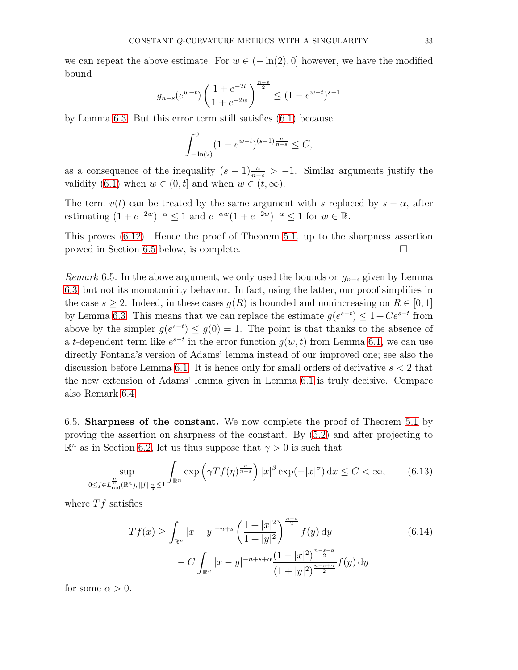we can repeat the above estimate. For  $w \in (-\ln(2), 0]$  however, we have the modified bound

$$
g_{n-s}(e^{w-t})\left(\frac{1+e^{-2t}}{1+e^{-2w}}\right)^{\frac{n-s}{2}} \le (1-e^{w-t})^{s-1}
$$

by Lemma [6.3.](#page-28-0) But this error term still satisfies [\(6.1\)](#page-23-2) because

$$
\int_{-\ln(2)}^0 (1 - e^{w-t})^{(s-1)\frac{n}{n-s}} \le C,
$$

as a consequence of the inequality  $(s-1)\frac{n}{n-s} > -1$ . Similar arguments justify the validity [\(6.1\)](#page-23-2) when  $w \in (0, t]$  and when  $w \in (t, \infty)$ .

The term  $v(t)$  can be treated by the same argument with s replaced by  $s - \alpha$ , after estimating  $(1 + e^{-2w})^{-\alpha} \le 1$  and  $e^{-\alpha w}(1 + e^{-2w})^{-\alpha} \le 1$  for  $w \in \mathbb{R}$ .

This proves [\(6.12\)](#page-31-0). Hence the proof of Theorem [5.1,](#page-21-2) up to the sharpness assertion proved in Section [6.5](#page-32-0) below, is complete.

Remark 6.5. In the above argument, we only used the bounds on  $g_{n-s}$  given by Lemma [6.3,](#page-28-0) but not its monotonicity behavior. In fact, using the latter, our proof simplifies in the case  $s \geq 2$ . Indeed, in these cases  $g(R)$  is bounded and nonincreasing on  $R \in [0, 1]$ by Lemma [6.3.](#page-28-0) This means that we can replace the estimate  $g(e^{s-t}) \leq 1 + Ce^{s-t}$  from above by the simpler  $g(e^{s-t}) \leq g(0) = 1$ . The point is that thanks to the absence of a t-dependent term like  $e^{s-t}$  in the error function  $g(w, t)$  from Lemma [6.1,](#page-23-0) we can use directly Fontana's version of Adams' lemma instead of our improved one; see also the discussion before Lemma [6.1.](#page-23-0) It is hence only for small orders of derivative  $s < 2$  that the new extension of Adams' lemma given in Lemma [6.1](#page-23-0) is truly decisive. Compare also Remark [6.4.](#page-30-0)

<span id="page-32-0"></span>6.5. Sharpness of the constant. We now complete the proof of Theorem [5.1](#page-21-2) by proving the assertion on sharpness of the constant. By [\(5.2\)](#page-20-1) and after projecting to  $\mathbb{R}^n$  as in Section [6.2,](#page-26-4) let us thus suppose that  $\gamma > 0$  is such that

<span id="page-32-1"></span>
$$
\sup_{0 \le f \in L_{\text{rad}}^{\frac{n}{s}}(\mathbb{R}^n), \|f\|_{\frac{n}{s}} \le 1} \int_{\mathbb{R}^n} \exp\left(\gamma Tf(\eta)^{\frac{n}{n-s}}\right) |x|^\beta \exp(-|x|^\sigma) \, \mathrm{d}x \le C < \infty,\tag{6.13}
$$

where  $Tf$  satisfies

<span id="page-32-2"></span>
$$
Tf(x) \ge \int_{\mathbb{R}^n} |x - y|^{-n+s} \left(\frac{1 + |x|^2}{1 + |y|^2}\right)^{\frac{n-s}{2}} f(y) \, dy \tag{6.14}
$$

$$
- C \int_{\mathbb{R}^n} |x - y|^{-n+s+\alpha} \frac{(1 + |x|^2)^{\frac{n-s-\alpha}{2}}}{(1 + |y|^2)^{\frac{n-s+\alpha}{2}}} f(y) \, dy
$$

for some  $\alpha > 0$ .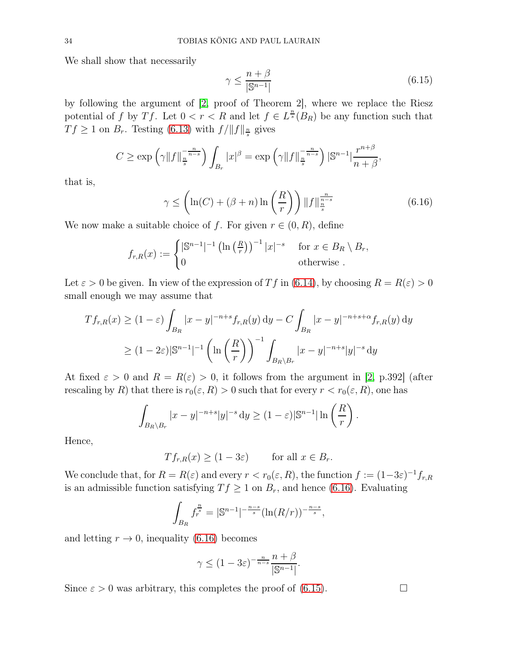We shall show that necessarily

<span id="page-33-1"></span>
$$
\gamma \le \frac{n+\beta}{|\mathbb{S}^{n-1}|} \tag{6.15}
$$

by following the argument of [\[2,](#page-34-0) proof of Theorem 2], where we replace the Riesz potential of f by Tf. Let  $0 < r < R$  and let  $f \in L^{\frac{n}{s}}(B_R)$  be any function such that  $Tf \geq 1$  on  $B_r$ . Testing [\(6.13\)](#page-32-1) with  $f/\|f\|_{\frac{n}{s}}$  gives

$$
C \ge \exp\left(\gamma \|f\|_{\frac{n}{s}}^{-\frac{n}{n-s}}\right) \int_{B_r} |x|^{\beta} = \exp\left(\gamma \|f\|_{\frac{n}{s}}^{-\frac{n}{n-s}}\right) |\mathbb{S}^{n-1}| \frac{r^{n+\beta}}{n+\beta},
$$

that is,

<span id="page-33-0"></span>
$$
\gamma \le \left(\ln(C) + (\beta + n)\ln\left(\frac{R}{r}\right)\right) \|f\|_{\frac{n}{s}}^{\frac{n}{n-s}}\tag{6.16}
$$

We now make a suitable choice of f. For given  $r \in (0, R)$ , define

$$
f_{r,R}(x) := \begin{cases} |\mathbb{S}^{n-1}|^{-1} \left( \ln\left(\frac{R}{r}\right) \right)^{-1} |x|^{-s} & \text{for } x \in B_R \setminus B_r, \\ 0 & \text{otherwise} \end{cases}
$$

Let  $\varepsilon > 0$  be given. In view of the expression of Tf in [\(6.14\)](#page-32-2), by choosing  $R = R(\varepsilon) > 0$ small enough we may assume that

$$
Tf_{r,R}(x) \ge (1-\varepsilon) \int_{B_R} |x-y|^{-n+s} f_{r,R}(y) dy - C \int_{B_R} |x-y|^{-n+s+\alpha} f_{r,R}(y) dy
$$
  

$$
\ge (1-2\varepsilon) |\mathbb{S}^{n-1}|^{-1} \left( \ln \left( \frac{R}{r} \right) \right)^{-1} \int_{B_R \setminus B_r} |x-y|^{-n+s} |y|^{-s} dy
$$

At fixed  $\varepsilon > 0$  and  $R = R(\varepsilon) > 0$ , it follows from the argument in [\[2,](#page-34-0) p.392] (after rescaling by R) that there is  $r_0(\varepsilon, R) > 0$  such that for every  $r < r_0(\varepsilon, R)$ , one has

$$
\int_{B_R\setminus B_r} |x-y|^{-n+s}|y|^{-s} \, \mathrm{d}y \ge (1-\varepsilon)|\mathbb{S}^{n-1}| \ln\left(\frac{R}{r}\right).
$$

Hence,

 $T f_{r,R}(x) \ge (1 - 3\varepsilon)$  for all  $x \in B_r$ .

We conclude that, for  $R = R(\varepsilon)$  and every  $r < r_0(\varepsilon, R)$ , the function  $f := (1-3\varepsilon)^{-1} f_{r,R}$ is an admissible function satisfying  $T f \geq 1$  on  $B_r$ , and hence [\(6.16\)](#page-33-0). Evaluating

$$
\int_{B_R} f_r^{\frac{n}{s}} = |\mathbb{S}^{n-1}|^{-\frac{n-s}{s}} (\ln(R/r))^{-\frac{n-s}{s}},
$$

and letting  $r \to 0$ , inequality [\(6.16\)](#page-33-0) becomes

$$
\gamma \le (1 - 3\varepsilon)^{-\frac{n}{n-s}} \frac{n+\beta}{|\mathbb{S}^{n-1}|}.
$$

Since  $\varepsilon > 0$  was arbitrary, this completes the proof of [\(6.15\)](#page-33-1).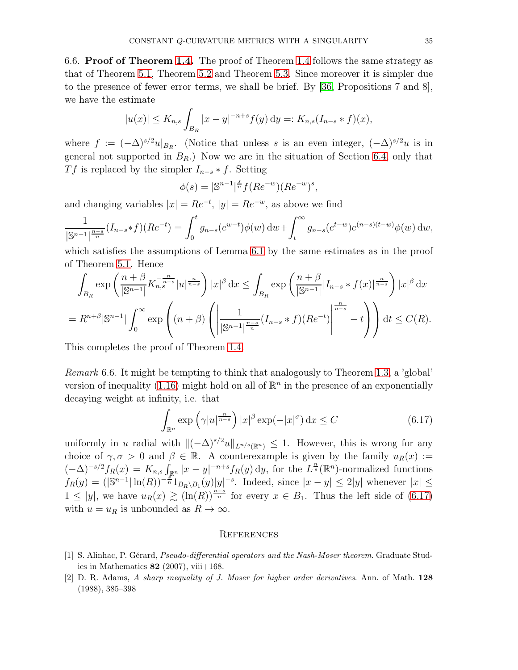6.6. Proof of Theorem [1.4.](#page-6-1) The proof of Theorem [1.4](#page-6-1) follows the same strategy as that of Theorem [5.1,](#page-21-2) Theorem [5.2](#page-21-0) and Theorem [5.3.](#page-21-1) Since moreover it is simpler due to the presence of fewer error terms, we shall be brief. By [\[36,](#page-36-14) Propositions 7 and 8], we have the estimate

$$
|u(x)| \le K_{n,s} \int_{B_R} |x - y|^{-n+s} f(y) dy =: K_{n,s}(I_{n-s} * f)(x),
$$

where  $f := (-\Delta)^{s/2} u|_{B_R}$ . (Notice that unless s is an even integer,  $(-\Delta)^{s/2} u$  is in general not supported in  $B_R$ .) Now we are in the situation of Section [6.4,](#page-30-4) only that Tf is replaced by the simpler  $I_{n-s} * f$ . Setting

$$
\phi(s) = |\mathbb{S}^{n-1}|^{\frac{s}{n}} f(Re^{-w})(Re^{-w})^s,
$$

and changing variables  $|x| = Re^{-t}$ ,  $|y| = Re^{-w}$ , as above we find

$$
\frac{1}{|\mathbb{S}^{n-1}|^{\frac{n-s}{n}}}(I_{n-s}*f)(Re^{-t}) = \int_0^t g_{n-s}(e^{w-t})\phi(w) dw + \int_t^\infty g_{n-s}(e^{t-w})e^{(n-s)(t-w)}\phi(w) dw,
$$

which satisfies the assumptions of Lemma [6.1](#page-23-0) by the same estimates as in the proof of Theorem [5.1.](#page-21-2) Hence

$$
\int_{B_R} \exp\left(\frac{n+\beta}{|\mathbb{S}^{n-1}|} K_{n,s}^{-\frac{n}{n-s}} |u|^{\frac{n}{n-s}}\right) |x|^{\beta} dx \le \int_{B_R} \exp\left(\frac{n+\beta}{|\mathbb{S}^{n-1}|} |I_{n-s}*f(x)|^{\frac{n}{n-s}}\right) |x|^{\beta} dx
$$
  
=  $R^{n+\beta} |\mathbb{S}^{n-1}| \int_0^\infty \exp\left((n+\beta)\left(\left|\frac{1}{|\mathbb{S}^{n-1}|^{\frac{n-s}{n}}}(I_{n-s}*f)(Re^{-t})\right|^{\frac{n}{n-s}} - t\right)\right) dt \le C(R).$ 

This completes the proof of Theorem [1.4.](#page-6-1)

Remark 6.6. It might be tempting to think that analogously to Theorem [1.3,](#page-6-0) a 'global' version of inequality [\(1.16\)](#page-6-2) might hold on all of  $\mathbb{R}^n$  in the presence of an exponentially decaying weight at infinity, i.e. that

<span id="page-34-2"></span>
$$
\int_{\mathbb{R}^n} \exp\left(\gamma |u|^{\frac{n}{n-s}}\right) |x|^\beta \exp(-|x|^\sigma) \, \mathrm{d}x \le C \tag{6.17}
$$

uniformly in u radial with  $\|(-\Delta)^{s/2}u\|_{L^{n/s}(\mathbb{R}^n)} \leq 1$ . However, this is wrong for any choice of  $\gamma, \sigma > 0$  and  $\beta \in \mathbb{R}$ . A counterexample is given by the family  $u_R(x) :=$  $(-\Delta)^{-s/2} f_R(x) = K_{n,s} \int_{\mathbb{R}^n} |x-y|^{-n+s} f_R(y) dy$ , for the  $L^{\frac{n}{s}}(\mathbb{R}^n)$ -normalized functions  $f_R(y) = (|\mathbb{S}^{n-1}| \ln(R))^{-\frac{s}{n}} 1_{B_R\setminus B_1}(y)|y|^{-s}$ . Indeed, since  $|x-y| \leq 2|y|$  whenever  $|x| \leq$  $1 \le |y|$ , we have  $u_R(x) \gtrsim (\ln(R))^{\frac{n-s}{n}}$  for every  $x \in B_1$ . Thus the left side of [\(6.17\)](#page-34-2) with  $u = u_R$  is unbounded as  $R \to \infty$ .

### **REFERENCES**

- <span id="page-34-1"></span>[1] S. Alinhac, P. Gérard, Pseudo-differential operators and the Nash-Moser theorem. Graduate Studies in Mathematics  $82$  (2007), viii+168.
- <span id="page-34-0"></span>[2] D. R. Adams, A sharp inequality of J. Moser for higher order derivatives. Ann. of Math. 128 (1988), 385–398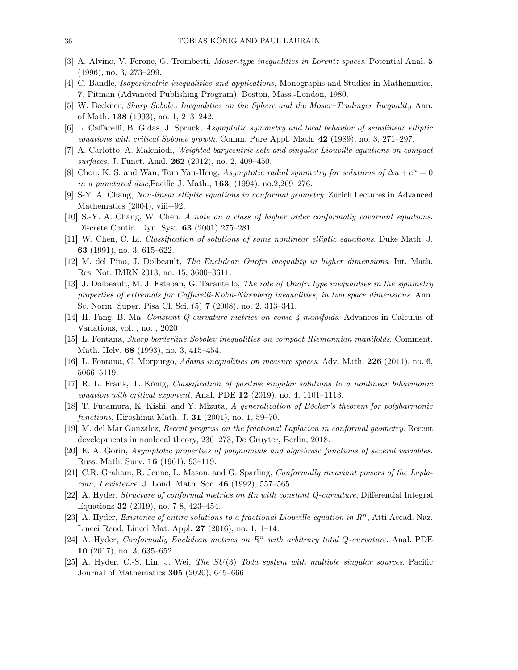- <span id="page-35-21"></span><span id="page-35-5"></span>[3] A. Alvino, V. Ferone, G. Trombetti, Moser-type inequalities in Lorentz spaces. Potential Anal. 5 (1996), no. 3, 273–299.
- <span id="page-35-19"></span>[4] C. Bandle, Isoperimetric inequalities and applications, Monographs and Studies in Mathematics, 7, Pitman (Advanced Publishing Program), Boston, Mass.-London, 1980.
- <span id="page-35-10"></span>[5] W. Beckner, Sharp Sobolev Inequalities on the Sphere and the Moser–Trudinger Inequality Ann. of Math. 138 (1993), no. 1, 213–242.
- <span id="page-35-11"></span>[6] L. Caffarelli, B. Gidas, J. Spruck, Asymptotic symmetry and local behavior of semilinear elliptic equations with critical Sobolev growth. Comm. Pure Appl. Math. 42 (1989), no. 3, 271–297.
- <span id="page-35-4"></span>[7] A. Carlotto, A. Malchiodi, Weighted barycentric sets and singular Liouville equations on compact surfaces. J. Funct. Anal. **262** (2012), no. 2, 409-450.
- <span id="page-35-1"></span>[8] Chou, K. S. and Wan, Tom Yau-Heng, Asymptotic radial symmetry for solutions of  $\Delta u + e^u = 0$ in a punctured disc,Pacific J. Math., 163, (1994), no.2,269–276.
- <span id="page-35-7"></span>[9] S-Y. A. Chang, Non-linear elliptic equations in conformal geometry. Zurich Lectures in Advanced Mathematics  $(2004)$ , viii $+92$ .
- <span id="page-35-3"></span>[10] S.-Y. A. Chang, W. Chen, A note on a class of higher order conformally covariant equations. Discrete Contin. Dyn. Syst. 63 (2001) 275–281.
- <span id="page-35-15"></span>[11] W. Chen, C. Li, Classification of solutions of some nonlinear elliptic equations. Duke Math. J. 63 (1991), no. 3, 615–622.
- <span id="page-35-14"></span>[12] M. del Pino, J. Dolbeault, The Euclidean Onofri inequality in higher dimensions. Int. Math. Res. Not. IMRN 2013, no. 15, 3600–3611.
- [13] J. Dolbeault, M. J. Esteban, G. Tarantello, The role of Onofri type inequalities in the symmetry properties of extremals for Caffarelli-Kohn-Nirenberg inequalities, in two space dimensions. Ann. Sc. Norm. Super. Pisa Cl. Sci. (5) 7 (2008), no. 2, 313–341.
- <span id="page-35-20"></span><span id="page-35-2"></span>[14] H. Fang, B. Ma, Constant Q-curvature metrics on conic 4-manifolds. Advances in Calculus of Variations, vol. , no. , 2020
- <span id="page-35-22"></span>[15] L. Fontana, Sharp borderline Sobolev inequalities on compact Riemannian manifolds. Comment. Math. Helv. 68 (1993), no. 3, 415–454.
- <span id="page-35-12"></span>[16] L. Fontana, C. Morpurgo, Adams inequalities on measure spaces. Adv. Math. 226 (2011), no. 6, 5066–5119.
- <span id="page-35-16"></span>[17] R. L. Frank, T. König, Classification of positive singular solutions to a nonlinear biharmonic equation with critical exponent. Anal. PDE  $12$  (2019), no. 4, 1101–1113.
- <span id="page-35-18"></span>[18] T. Futamura, K. Kishi, and Y. Mizuta, A generalization of Bôcher's theorem for polyharmonic functions, Hiroshima Math. J. 31 (2001), no. 1, 59–70.
- <span id="page-35-17"></span>[19] M. del Mar González, Recent progress on the fractional Laplacian in conformal geometry. Recent developments in nonlocal theory, 236–273, De Gruyter, Berlin, 2018.
- <span id="page-35-0"></span>[20] E. A. Gorin, Asymptotic properties of polynomials and algrebraic functions of several variables. Russ. Math. Surv. 16 (1961), 93–119.
- <span id="page-35-6"></span>[21] C.R. Graham, R. Jenne, L. Mason, and G. Sparling, Conformally invariant powers of the Laplacian, I:existence. J. Lond. Math. Soc. 46 (1992), 557–565.
- [22] A. Hyder, Structure of conformal metrics on Rn with constant Q-curvature, Differential Integral Equations 32 (2019), no. 7-8, 423–454.
- <span id="page-35-8"></span>[23] A. Hyder, *Existence of entire solutions to a fractional Liouville equation in*  $R<sup>n</sup>$ , Atti Accad. Naz. Lincei Rend. Lincei Mat. Appl. 27 (2016), no. 1, 1–14.
- <span id="page-35-9"></span>[24] A. Hyder, Conformally Euclidean metrics on  $\mathbb{R}^n$  with arbitrary total Q-curvature. Anal. PDE 10 (2017), no. 3, 635–652.
- <span id="page-35-13"></span>[25] A. Hyder, C.-S. Lin, J. Wei, The  $SU(3)$  Toda system with multiple singular sources. Pacific Journal of Mathematics 305 (2020), 645–666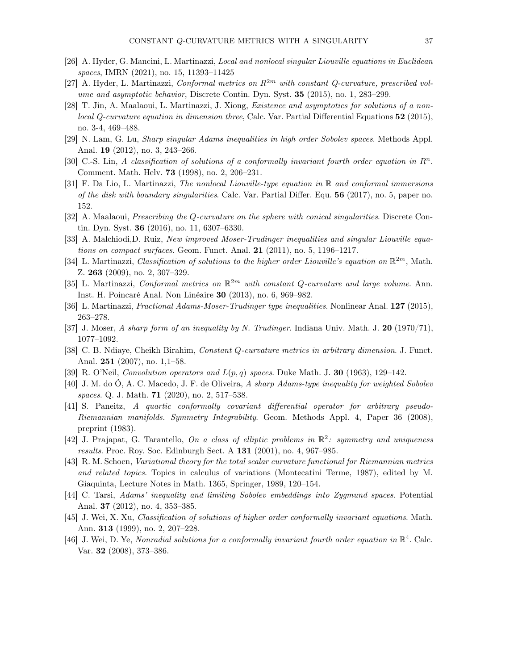- <span id="page-36-7"></span><span id="page-36-0"></span>[26] A. Hyder, G. Mancini, L. Martinazzi, Local and nonlocal singular Liouville equations in Euclidean spaces, IMRN (2021), no. 15, 11393–11425
- <span id="page-36-5"></span>[27] A. Hyder, L. Martinazzi, Conformal metrics on  $\mathbb{R}^{2m}$  with constant Q-curvature, prescribed volume and asymptotic behavior, Discrete Contin. Dyn. Syst. 35 (2015), no. 1, 283–299.
- [28] T. Jin, A. Maalaoui, L. Martinazzi, J. Xiong, Existence and asymptotics for solutions of a nonlocal Q-curvature equation in dimension three, Calc. Var. Partial Differential Equations 52 (2015), no. 3-4, 469–488.
- <span id="page-36-17"></span><span id="page-36-3"></span>[29] N. Lam, G. Lu, Sharp singular Adams inequalities in high order Sobolev spaces. Methods Appl. Anal. 19 (2012), no. 3, 243–266.
- <span id="page-36-2"></span>[30] C.-S. Lin, A classification of solutions of a conformally invariant fourth order equation in  $\mathbb{R}^n$ . Comment. Math. Helv. 73 (1998), no. 2, 206–231.
- [31] F. Da Lio, L. Martinazzi, The nonlocal Liouville-type equation in R and conformal immersions of the disk with boundary singularities. Calc. Var. Partial Differ. Equ. 56 (2017), no. 5, paper no. 152.
- <span id="page-36-13"></span><span id="page-36-11"></span>[32] A. Maalaoui, Prescribing the Q-curvature on the sphere with conical singularities. Discrete Contin. Dyn. Syst. 36 (2016), no. 11, 6307–6330.
- [33] A. Malchiodi, D. Ruiz, New improved Moser-Trudinger inequalities and singular Liouville equations on compact surfaces. Geom. Funct. Anal. 21 (2011), no. 5, 1196–1217.
- <span id="page-36-4"></span>[34] L. Martinazzi, Classification of solutions to the higher order Liouville's equation on  $\mathbb{R}^{2m}$ , Math. Z. 263 (2009), no. 2, 307–329.
- <span id="page-36-8"></span>[35] L. Martinazzi, Conformal metrics on  $\mathbb{R}^{2m}$  with constant Q-curvature and large volume. Ann. Inst. H. Poincaré Anal. Non Linéaire 30 (2013), no. 6, 969–982.
- <span id="page-36-20"></span><span id="page-36-14"></span>[36] L. Martinazzi, Fractional Adams-Moser-Trudinger type inequalities. Nonlinear Anal. 127 (2015), 263–278.
- <span id="page-36-19"></span>[37] J. Moser, A sharp form of an inequality by N. Trudinger. Indiana Univ. Math. J. 20 (1970/71), 1077–1092.
- <span id="page-36-18"></span>[38] C. B. Ndiaye, Cheikh Birahim, Constant Q-curvature metrics in arbitrary dimension. J. Funct. Anal. 251 (2007), no. 1,1–58.
- <span id="page-36-15"></span>[39] R. O'Neil, Convolution operators and  $L(p,q)$  spaces. Duke Math. J. 30 (1963), 129–142.
- <span id="page-36-1"></span>[40] J. M. do Ó, A. C. Macedo, J. F. de Oliveira, A sharp Adams-type inequality for weighted Sobolev spaces. Q. J. Math. **71** (2020), no. 2, 517-538.
- [41] S. Paneitz, A quartic conformally covariant differential operator for arbitrary pseudo-Riemannian manifolds. Symmetry Integrability. Geom. Methods Appl. 4, Paper 36 (2008), preprint (1983).
- <span id="page-36-10"></span>[42] J. Prajapat, G. Tarantello, On a class of elliptic problems in  $\mathbb{R}^2$ : symmetry and uniqueness results. Proc. Roy. Soc. Edinburgh Sect. A 131 (2001), no. 4, 967–985.
- <span id="page-36-12"></span>[43] R. M. Schoen, Variational theory for the total scalar curvature functional for Riemannian metrics and related topics. Topics in calculus of variations (Montecatini Terme, 1987), edited by M. Giaquinta, Lecture Notes in Math. 1365, Springer, 1989, 120–154.
- <span id="page-36-16"></span><span id="page-36-9"></span>[44] C. Tarsi, Adams' inequality and limiting Sobolev embeddings into Zygmund spaces. Potential Anal. 37 (2012), no. 4, 353–385.
- [45] J. Wei, X. Xu, Classification of solutions of higher order conformally invariant equations. Math. Ann. 313 (1999), no. 2, 207–228.
- <span id="page-36-6"></span>[46] J. Wei, D. Ye, Nonradial solutions for a conformally invariant fourth order equation in  $\mathbb{R}^4$ . Calc. Var. 32 (2008), 373–386.